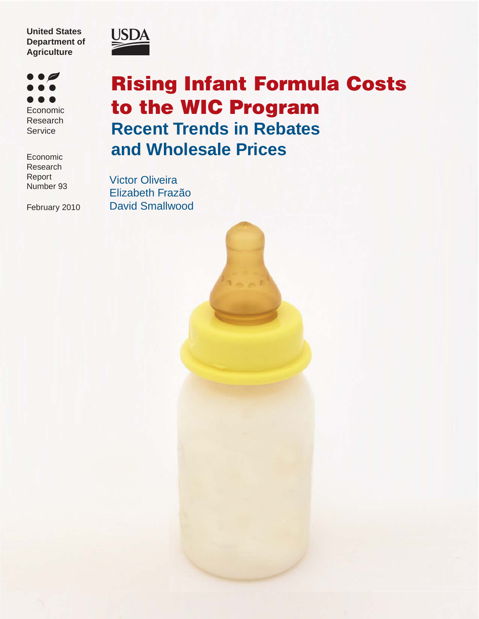**United States Department of Agriculture**



 $\bullet \bullet \mathscr{D}$ . . .  $\bullet$   $\bullet$ Economic Research **Service** 

Economic Research Report Number 93

February 2010

## **Rising Infant Formula Costs to the WIC Program Recent Trends in Rebates and Wholesale Prices**

Victor Oliveira Elizabeth Frazão David Smallwood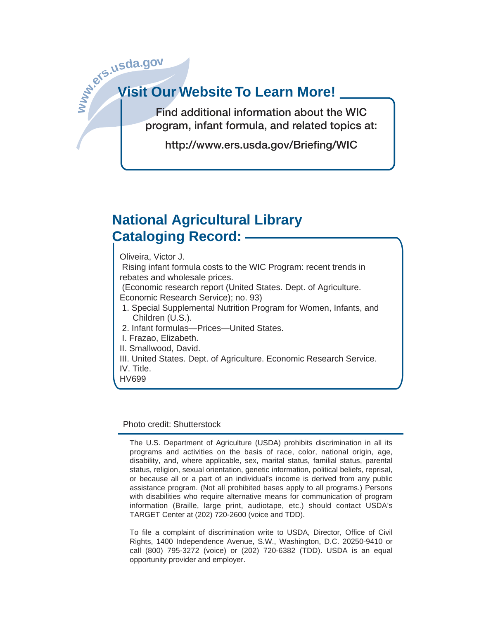# **w**<sub>2</sub> weight with the contract of **Visit Our Website To Learn More!**

**Find additional information about the WIC program, infant formula, and related topics at:**

**http://www.ers.usda.gov/Briefing/WIC**

## **National Agricultural Library Cataloging Record:**

Oliveira, Victor J.

 Rising infant formula costs to the WIC Program: recent trends in rebates and wholesale prices.

 (Economic research report (United States. Dept. of Agriculture. Economic Research Service); no. 93)

- 1. Special Supplemental Nutrition Program for Women, Infants, and Children (U.S.).
- 2. Infant formulas—Prices—United States.
- I. Frazao, Elizabeth.
- II. Smallwood, David.
- III. United States. Dept. of Agriculture. Economic Research Service.
- IV. Title.

HV699

Photo credit: Shutterstock

The U.S. Department of Agriculture (USDA) prohibits discrimination in all its programs and activities on the basis of race, color, national origin, age, disability, and, where applicable, sex, marital status, familial status, parental status, religion, sexual orientation, genetic information, political beliefs, reprisal, or because all or a part of an individual's income is derived from any public assistance program. (Not all prohibited bases apply to all programs.) Persons with disabilities who require alternative means for communication of program information (Braille, large print, audiotape, etc.) should contact USDA's TARGET Center at (202) 720-2600 (voice and TDD).

To file a complaint of discrimination write to USDA, Director, Office of Civil Rights, 1400 Independence Avenue, S.W., Washington, D.C. 20250-9410 or call (800) 795-3272 (voice) or (202) 720-6382 (TDD). USDA is an equal opportunity provider and employer.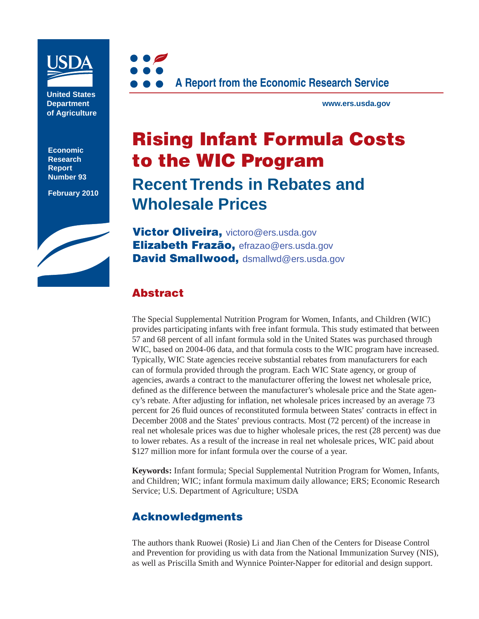

**United States Department of Agriculture**

**Economic Research Report Number 93**

**February 2010**





**www.ers.usda.gov**

# **Rising Infant Formula Costs to the WIC Program Recent Trends in Rebates and Wholesale Prices**

**Victor Oliveira,** victoro@ers.usda.gov **Elizabeth Frazão,** efrazao@ers.usda.gov **David Smallwood,** dsmallwd@ers.usda.gov

## **Abstract**

The Special Supplemental Nutrition Program for Women, Infants, and Children (WIC) provides participating infants with free infant formula. This study estimated that between 57 and 68 percent of all infant formula sold in the United States was purchased through WIC, based on 2004-06 data, and that formula costs to the WIC program have increased. Typically, WIC State agencies receive substantial rebates from manufacturers for each can of formula provided through the program. Each WIC State agency, or group of agencies, awards a contract to the manufacturer offering the lowest net wholesale price, defined as the difference between the manufacturer's wholesale price and the State agency's rebate. After adjusting for inflation, net wholesale prices increased by an average 73 percent for 26 fluid ounces of reconstituted formula between States' contracts in effect in December 2008 and the States' previous contracts. Most (72 percent) of the increase in real net wholesale prices was due to higher wholesale prices, the rest (28 percent) was due to lower rebates. As a result of the increase in real net wholesale prices, WIC paid about \$127 million more for infant formula over the course of a year.

**Keywords:** Infant formula; Special Supplemental Nutrition Program for Women, Infants, and Children; WIC; infant formula maximum daily allowance; ERS; Economic Research Service; U.S. Department of Agriculture; USDA

## **Acknowledgments**

The authors thank Ruowei (Rosie) Li and Jian Chen of the Centers for Disease Control and Prevention for providing us with data from the National Immunization Survey (NIS), as well as Priscilla Smith and Wynnice Pointer-Napper for editorial and design support.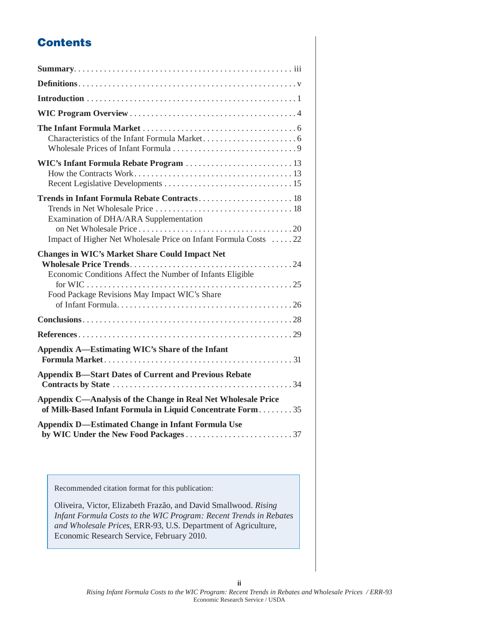## **Contents**

| WIC's Infant Formula Rebate Program  13                                                                                                                             |
|---------------------------------------------------------------------------------------------------------------------------------------------------------------------|
| Examination of DHA/ARA Supplementation<br>Impact of Higher Net Wholesale Price on Infant Formula Costs 22                                                           |
| <b>Changes in WIC's Market Share Could Impact Net</b><br>Economic Conditions Affect the Number of Infants Eligible<br>Food Package Revisions May Impact WIC's Share |
|                                                                                                                                                                     |
|                                                                                                                                                                     |
|                                                                                                                                                                     |
| Appendix A—Estimating WIC's Share of the Infant                                                                                                                     |
| <b>Appendix B—Start Dates of Current and Previous Rebate</b>                                                                                                        |
| Appendix C—Analysis of the Change in Real Net Wholesale Price<br>of Milk-Based Infant Formula in Liquid Concentrate Form35                                          |
| <b>Appendix D-Estimated Change in Infant Formula Use</b>                                                                                                            |

Recommended citation format for this publication:

Oliveira, Victor, Elizabeth Frazão, and David Smallwood. *Rising Infant Formula Costs to the WIC Program: Recent Trends in Rebates and Wholesale Prices*, ERR-93, U.S. Department of Agriculture, Economic Research Service, February 2010.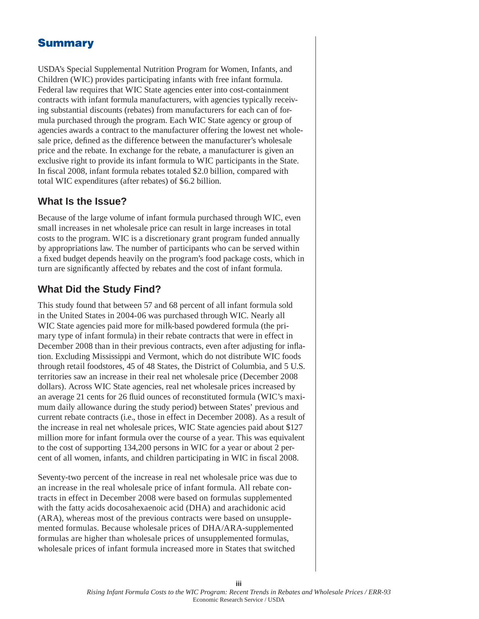## **Summary**

USDA's Special Supplemental Nutrition Program for Women, Infants, and Children (WIC) provides participating infants with free infant formula. Federal law requires that WIC State agencies enter into cost-containment contracts with infant formula manufacturers, with agencies typically receiving substantial discounts (rebates) from manufacturers for each can of formula purchased through the program. Each WIC State agency or group of agencies awards a contract to the manufacturer offering the lowest net wholesale price, defined as the difference between the manufacturer's wholesale price and the rebate. In exchange for the rebate, a manufacturer is given an exclusive right to provide its infant formula to WIC participants in the State. In fiscal 2008, infant formula rebates totaled \$2.0 billion, compared with total WIC expenditures (after rebates) of \$6.2 billion.

## **What Is the Issue?**

Because of the large volume of infant formula purchased through WIC, even small increases in net wholesale price can result in large increases in total costs to the program. WIC is a discretionary grant program funded annually by appropriations law. The number of participants who can be served within a fixed budget depends heavily on the program's food package costs, which in turn are significantly affected by rebates and the cost of infant formula.

## **What Did the Study Find?**

This study found that between 57 and 68 percent of all infant formula sold in the United States in 2004-06 was purchased through WIC. Nearly all WIC State agencies paid more for milk-based powdered formula (the primary type of infant formula) in their rebate contracts that were in effect in December 2008 than in their previous contracts, even after adjusting for inflation. Excluding Mississippi and Vermont, which do not distribute WIC foods through retail foodstores, 45 of 48 States, the District of Columbia, and 5 U.S. territories saw an increase in their real net wholesale price (December 2008 dollars). Across WIC State agencies, real net wholesale prices increased by an average 21 cents for 26 fluid ounces of reconstituted formula (WIC's maximum daily allowance during the study period) between States' previous and current rebate contracts (i.e., those in effect in December 2008). As a result of the increase in real net wholesale prices, WIC State agencies paid about \$127 million more for infant formula over the course of a year. This was equivalent to the cost of supporting 134,200 persons in WIC for a year or about 2 percent of all women, infants, and children participating in WIC in fiscal 2008.

Seventy-two percent of the increase in real net wholesale price was due to an increase in the real wholesale price of infant formula. All rebate contracts in effect in December 2008 were based on formulas supplemented with the fatty acids docosahexaenoic acid (DHA) and arachidonic acid (ARA), whereas most of the previous contracts were based on unsupplemented formulas. Because wholesale prices of DHA/ARA-supplemented formulas are higher than wholesale prices of unsupplemented formulas, wholesale prices of infant formula increased more in States that switched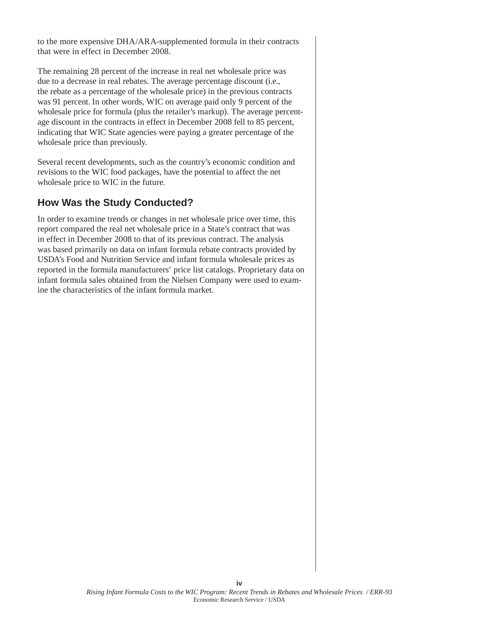to the more expensive DHA/ARA-supplemented formula in their contracts that were in effect in December 2008.

The remaining 28 percent of the increase in real net wholesale price was due to a decrease in real rebates. The average percentage discount (i.e., the rebate as a percentage of the wholesale price) in the previous contracts was 91 percent. In other words, WIC on average paid only 9 percent of the wholesale price for formula (plus the retailer's markup). The average percentage discount in the contracts in effect in December 2008 fell to 85 percent, indicating that WIC State agencies were paying a greater percentage of the wholesale price than previously.

Several recent developments, such as the country's economic condition and revisions to the WIC food packages, have the potential to affect the net wholesale price to WIC in the future.

## **How Was the Study Conducted?**

In order to examine trends or changes in net wholesale price over time, this report compared the real net wholesale price in a State's contract that was in effect in December 2008 to that of its previous contract. The analysis was based primarily on data on infant formula rebate contracts provided by USDA's Food and Nutrition Service and infant formula wholesale prices as reported in the formula manufacturers' price list catalogs. Proprietary data on infant formula sales obtained from the Nielsen Company were used to examine the characteristics of the infant formula market.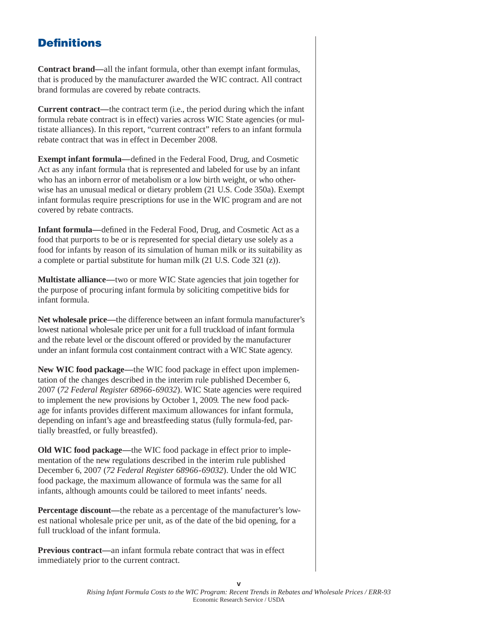## **Definitions**

**Contract brand—**all the infant formula, other than exempt infant formulas, that is produced by the manufacturer awarded the WIC contract. All contract brand formulas are covered by rebate contracts.

**Current contract—**the contract term (i.e., the period during which the infant formula rebate contract is in effect) varies across WIC State agencies (or multistate alliances). In this report, "current contract" refers to an infant formula rebate contract that was in effect in December 2008.

**Exempt infant formula—defined in the Federal Food, Drug, and Cosmetic** Act as any infant formula that is represented and labeled for use by an infant who has an inborn error of metabolism or a low birth weight, or who otherwise has an unusual medical or dietary problem (21 U.S. Code 350a). Exempt infant formulas require prescriptions for use in the WIC program and are not covered by rebate contracts.

**Infant formula—**defined in the Federal Food, Drug, and Cosmetic Act as a food that purports to be or is represented for special dietary use solely as a food for infants by reason of its simulation of human milk or its suitability as a complete or partial substitute for human milk (21 U.S. Code 321 (z)).

**Multistate alliance—**two or more WIC State agencies that join together for the purpose of procuring infant formula by soliciting competitive bids for infant formula.

**Net wholesale price—**the difference between an infant formula manufacturer's lowest national wholesale price per unit for a full truckload of infant formula and the rebate level or the discount offered or provided by the manufacturer under an infant formula cost containment contract with a WIC State agency.

**New WIC food package—**the WIC food package in effect upon implementation of the changes described in the interim rule published December 6, 2007 (*72 Federal Register 68966-69032*). WIC State agencies were required to implement the new provisions by October 1, 2009. The new food package for infants provides different maximum allowances for infant formula, depending on infant's age and breastfeeding status (fully formula-fed, partially breastfed, or fully breastfed).

**Old WIC food package—**the WIC food package in effect prior to implementation of the new regulations described in the interim rule published December 6, 2007 (*72 Federal Register 68966-69032*). Under the old WIC food package, the maximum allowance of formula was the same for all infants, although amounts could be tailored to meet infants' needs.

**Percentage discount—**the rebate as a percentage of the manufacturer's lowest national wholesale price per unit, as of the date of the bid opening, for a full truckload of the infant formula.

**Previous contract—**an infant formula rebate contract that was in effect immediately prior to the current contract.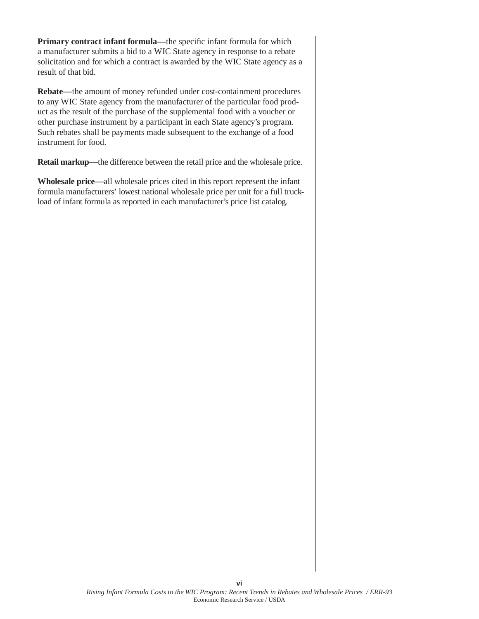**Primary contract infant formula—the specific infant formula for which** a manufacturer submits a bid to a WIC State agency in response to a rebate solicitation and for which a contract is awarded by the WIC State agency as a result of that bid.

**Rebate—**the amount of money refunded under cost-containment procedures to any WIC State agency from the manufacturer of the particular food product as the result of the purchase of the supplemental food with a voucher or other purchase instrument by a participant in each State agency's program. Such rebates shall be payments made subsequent to the exchange of a food instrument for food.

**Retail markup—**the difference between the retail price and the wholesale price.

**Wholesale price—**all wholesale prices cited in this report represent the infant formula manufacturers' lowest national wholesale price per unit for a full truckload of infant formula as reported in each manufacturer's price list catalog.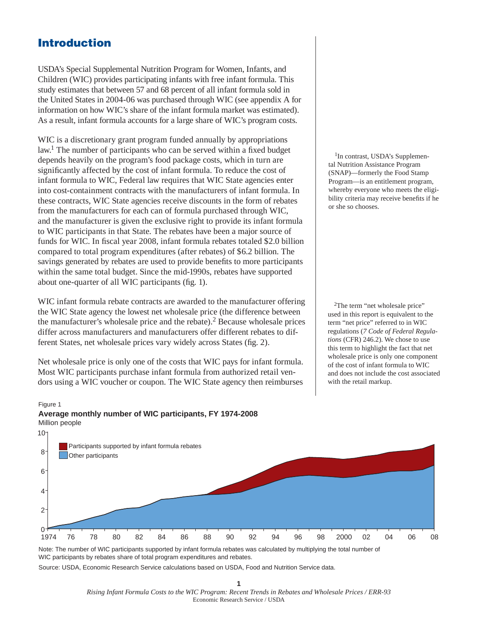## **Introduction**

Figure 1

Million people

USDA's Special Supplemental Nutrition Program for Women, Infants, and Children (WIC) provides participating infants with free infant formula. This study estimates that between 57 and 68 percent of all infant formula sold in the United States in 2004-06 was purchased through WIC (see appendix A for information on how WIC's share of the infant formula market was estimated). As a result, infant formula accounts for a large share of WIC's program costs.

WIC is a discretionary grant program funded annually by appropriations law.<sup>1</sup> The number of participants who can be served within a fixed budget depends heavily on the program's food package costs, which in turn are significantly affected by the cost of infant formula. To reduce the cost of infant formula to WIC, Federal law requires that WIC State agencies enter into cost-containment contracts with the manufacturers of infant formula. In these contracts, WIC State agencies receive discounts in the form of rebates from the manufacturers for each can of formula purchased through WIC, and the manufacturer is given the exclusive right to provide its infant formula to WIC participants in that State. The rebates have been a major source of funds for WIC. In fiscal year 2008, infant formula rebates totaled \$2.0 billion compared to total program expenditures (after rebates) of \$6.2 billion. The savings generated by rebates are used to provide benefits to more participants within the same total budget. Since the mid-1990s, rebates have supported about one-quarter of all WIC participants (fig. 1).

WIC infant formula rebate contracts are awarded to the manufacturer offering the WIC State agency the lowest net wholesale price (the difference between the manufacturer's wholesale price and the rebate).<sup>2</sup> Because wholesale prices differ across manufacturers and manufacturers offer different rebates to different States, net wholesale prices vary widely across States (fig. 2).

Net wholesale price is only one of the costs that WIC pays for infant formula. Most WIC participants purchase infant formula from authorized retail vendors using a WIC voucher or coupon. The WIC State agency then reimburses

**Average monthly number of WIC participants, FY 1974-2008**

<sup>1</sup>In contrast, USDA's Supplemental Nutrition Assistance Program (SNAP)—formerly the Food Stamp Program—is an entitlement program, whereby everyone who meets the eligibility criteria may receive benefits if he or she so chooses.

<sup>2</sup>The term "net wholesale price" used in this report is equivalent to the term "net price" referred to in WIC regulations (*7 Code of Federal Regulations* (CFR) 246.2). We chose to use this term to highlight the fact that net wholesale price is only one component of the cost of infant formula to WIC and does not include the cost associated with the retail markup.



Note: The number of WIC participants supported by infant formula rebates was calculated by multiplying the total number of WIC participants by rebates share of total program expenditures and rebates.

Source: USDA, Economic Research Service calculations based on USDA, Food and Nutrition Service data.

*Rising Infant Formula Costs to the WIC Program: Recent Trends in Rebates and Wholesale Prices / ERR-93* Economic Research Service / USDA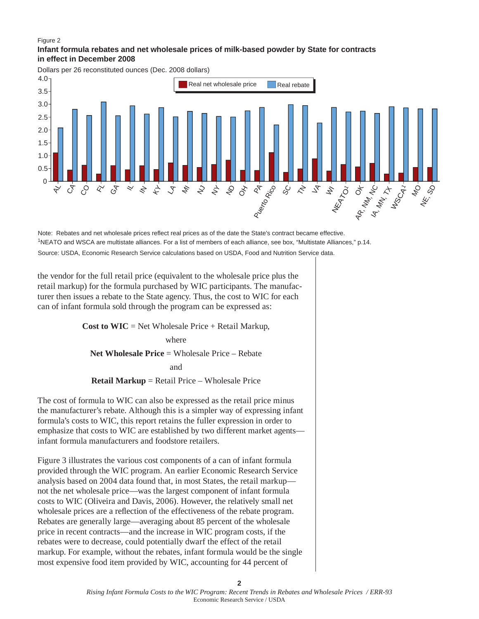#### Figure 2

#### **Infant formula rebates and net wholesale prices of milk-based powder by State for contracts in effect in December 2008**



Note: Rebates and net wholesale prices reflect real prices as of the date the State's contract became effective. 1NEATO and WSCA are multistate alliances. For a list of members of each alliance, see box, "Multistate Alliances," p.14. Source: USDA, Economic Research Service calculations based on USDA, Food and Nutrition Service data.

the vendor for the full retail price (equivalent to the wholesale price plus the retail markup) for the formula purchased by WIC participants. The manufacturer then issues a rebate to the State agency. Thus, the cost to WIC for each can of infant formula sold through the program can be expressed as:

> **Cost to WIC** = Net Wholesale Price + Retail Markup, where **Net Wholesale Price** = Wholesale Price – Rebate and **Retail Markup** = Retail Price – Wholesale Price

The cost of formula to WIC can also be expressed as the retail price minus the manufacturer's rebate. Although this is a simpler way of expressing infant formula's costs to WIC, this report retains the fuller expression in order to emphasize that costs to WIC are established by two different market agents infant formula manufacturers and foodstore retailers.

Figure 3 illustrates the various cost components of a can of infant formula provided through the WIC program. An earlier Economic Research Service analysis based on 2004 data found that, in most States, the retail markup not the net wholesale price—was the largest component of infant formula costs to WIC (Oliveira and Davis, 2006). However, the relatively small net wholesale prices are a reflection of the effectiveness of the rebate program. Rebates are generally large—averaging about 85 percent of the wholesale price in recent contracts—and the increase in WIC program costs, if the rebates were to decrease, could potentially dwarf the effect of the retail markup. For example, without the rebates, infant formula would be the single most expensive food item provided by WIC, accounting for 44 percent of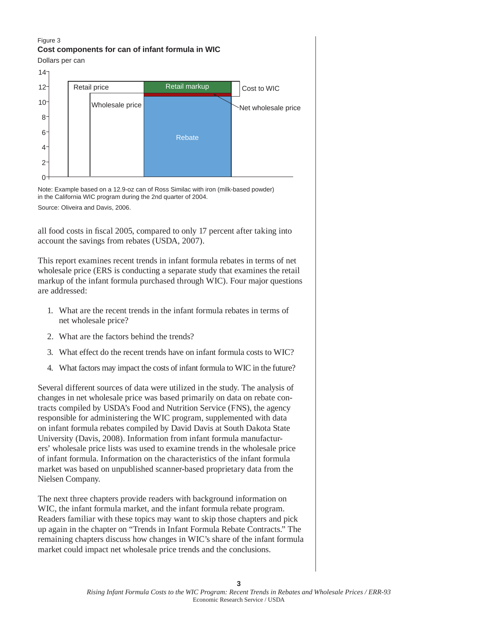#### Figure 3 **Cost components for can of infant formula in WIC**

|                 | Dollars per can |              |                 |               |                     |
|-----------------|-----------------|--------------|-----------------|---------------|---------------------|
| 14 <sub>7</sub> |                 |              |                 |               |                     |
| $12^{-}$        |                 | Retail price |                 | Retail markup | Cost to WIC         |
| $10^{-}$        |                 |              | Wholesale price |               | Net wholesale price |
| $8-$            |                 |              |                 |               |                     |
| $6-$            |                 |              |                 | Rebate        |                     |
| $4-1$           |                 |              |                 |               |                     |
| 2 <sup>1</sup>  |                 |              |                 |               |                     |
| 0               |                 |              |                 |               |                     |

Note: Example based on a 12.9-oz can of Ross Similac with iron (milk-based powder) in the California WIC program during the 2nd quarter of 2004. Source: Oliveira and Davis, 2006.

all food costs in fiscal 2005, compared to only 17 percent after taking into account the savings from rebates (USDA, 2007).

This report examines recent trends in infant formula rebates in terms of net wholesale price (ERS is conducting a separate study that examines the retail markup of the infant formula purchased through WIC). Four major questions are addressed:

- 1. What are the recent trends in the infant formula rebates in terms of net wholesale price?
- 2. What are the factors behind the trends?
- 3. What effect do the recent trends have on infant formula costs to WIC?
- 4. What factors may impact the costs of infant formula to WIC in the future?

Several different sources of data were utilized in the study. The analysis of changes in net wholesale price was based primarily on data on rebate contracts compiled by USDA's Food and Nutrition Service (FNS), the agency responsible for administering the WIC program, supplemented with data on infant formula rebates compiled by David Davis at South Dakota State University (Davis, 2008). Information from infant formula manufacturers' wholesale price lists was used to examine trends in the wholesale price of infant formula. Information on the characteristics of the infant formula market was based on unpublished scanner-based proprietary data from the Nielsen Company.

The next three chapters provide readers with background information on WIC, the infant formula market, and the infant formula rebate program. Readers familiar with these topics may want to skip those chapters and pick up again in the chapter on "Trends in Infant Formula Rebate Contracts." The remaining chapters discuss how changes in WIC's share of the infant formula market could impact net wholesale price trends and the conclusions.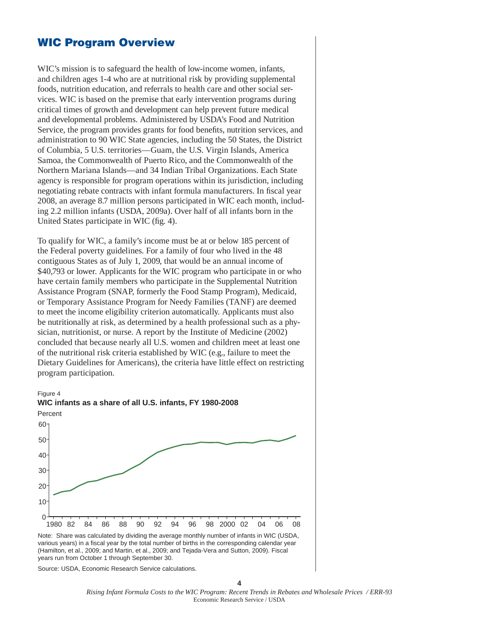## **WIC Program Overview**

WIC's mission is to safeguard the health of low-income women, infants, and children ages 1-4 who are at nutritional risk by providing supplemental foods, nutrition education, and referrals to health care and other social services. WIC is based on the premise that early intervention programs during critical times of growth and development can help prevent future medical and developmental problems. Administered by USDA's Food and Nutrition Service, the program provides grants for food benefits, nutrition services, and administration to 90 WIC State agencies, including the 50 States, the District of Columbia, 5 U.S. territories—Guam, the U.S. Virgin Islands, America Samoa, the Commonwealth of Puerto Rico, and the Commonwealth of the Northern Mariana Islands—and 34 Indian Tribal Organizations. Each State agency is responsible for program operations within its jurisdiction, including negotiating rebate contracts with infant formula manufacturers. In fiscal year 2008, an average 8.7 million persons participated in WIC each month, including 2.2 million infants (USDA, 2009a). Over half of all infants born in the United States participate in WIC (fig. 4).

To qualify for WIC, a family's income must be at or below 185 percent of the Federal poverty guidelines. For a family of four who lived in the 48 contiguous States as of July 1, 2009, that would be an annual income of \$40,793 or lower. Applicants for the WIC program who participate in or who have certain family members who participate in the Supplemental Nutrition Assistance Program (SNAP, formerly the Food Stamp Program), Medicaid, or Temporary Assistance Program for Needy Families (TANF) are deemed to meet the income eligibility criterion automatically. Applicants must also be nutritionally at risk, as determined by a health professional such as a physician, nutritionist, or nurse. A report by the Institute of Medicine (2002) concluded that because nearly all U.S. women and children meet at least one of the nutritional risk criteria established by WIC (e.g., failure to meet the Dietary Guidelines for Americans), the criteria have little effect on restricting program participation.





Note: Share was calculated by dividing the average monthly number of infants in WIC (USDA, various years) in a fiscal year by the total number of births in the corresponding calendar year (Hamilton, et al., 2009; and Martin, et al., 2009; and Tejada-Vera and Sutton, 2009). Fiscal years run from October 1 through September 30.

Source: USDA, Economic Research Service calculations.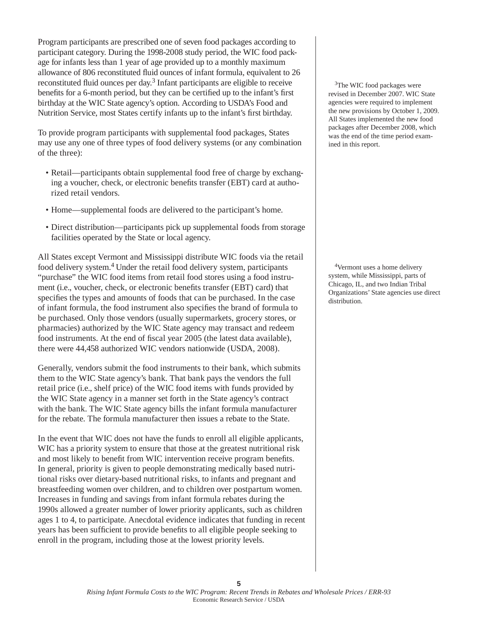Program participants are prescribed one of seven food packages according to participant category. During the 1998-2008 study period, the WIC food package for infants less than 1 year of age provided up to a monthly maximum allowance of 806 reconstituted fluid ounces of infant formula, equivalent to 26 reconstituted fluid ounces per day.<sup>3</sup> Infant participants are eligible to receive benefits for a 6-month period, but they can be certified up to the infant's first birthday at the WIC State agency's option. According to USDA's Food and Nutrition Service, most States certify infants up to the infant's first birthday.

To provide program participants with supplemental food packages, States may use any one of three types of food delivery systems (or any combination of the three):

- Retail—participants obtain supplemental food free of charge by exchanging a voucher, check, or electronic benefits transfer (EBT) card at authorized retail vendors.
- Home—supplemental foods are delivered to the participant's home.
- Direct distribution—participants pick up supplemental foods from storage facilities operated by the State or local agency.

All States except Vermont and Mississippi distribute WIC foods via the retail food delivery system.<sup>4</sup> Under the retail food delivery system, participants "purchase" the WIC food items from retail food stores using a food instrument (i.e., voucher, check, or electronic benefits transfer (EBT) card) that specifies the types and amounts of foods that can be purchased. In the case of infant formula, the food instrument also specifies the brand of formula to be purchased. Only those vendors (usually supermarkets, grocery stores, or pharmacies) authorized by the WIC State agency may transact and redeem food instruments. At the end of fiscal year 2005 (the latest data available), there were 44,458 authorized WIC vendors nationwide (USDA, 2008).

Generally, vendors submit the food instruments to their bank, which submits them to the WIC State agency's bank. That bank pays the vendors the full retail price (i.e., shelf price) of the WIC food items with funds provided by the WIC State agency in a manner set forth in the State agency's contract with the bank. The WIC State agency bills the infant formula manufacturer for the rebate. The formula manufacturer then issues a rebate to the State.

In the event that WIC does not have the funds to enroll all eligible applicants, WIC has a priority system to ensure that those at the greatest nutritional risk and most likely to benefit from WIC intervention receive program benefits. In general, priority is given to people demonstrating medically based nutritional risks over dietary-based nutritional risks, to infants and pregnant and breastfeeding women over children, and to children over postpartum women. Increases in funding and savings from infant formula rebates during the 1990s allowed a greater number of lower priority applicants, such as children ages 1 to 4, to participate. Anecdotal evidence indicates that funding in recent years has been sufficient to provide benefits to all eligible people seeking to enroll in the program, including those at the lowest priority levels.

<sup>3</sup>The WIC food packages were revised in December 2007. WIC State agencies were required to implement the new provisions by October 1, 2009. All States implemented the new food packages after December 2008, which was the end of the time period examined in this report.

4Vermont uses a home delivery system, while Mississippi, parts of Chicago, IL, and two Indian Tribal Organizations' State agencies use direct distribution.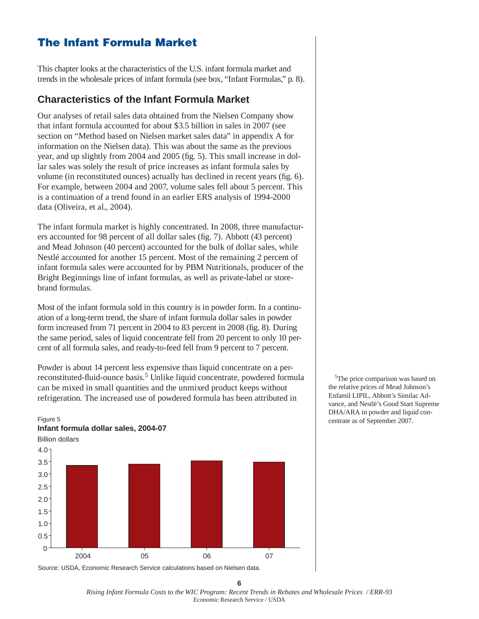## **The Infant Formula Market**

This chapter looks at the characteristics of the U.S. infant formula market and trends in the wholesale prices of infant formula (see box, "Infant Formulas," p. 8).

### **Characteristics of the Infant Formula Market**

Our analyses of retail sales data obtained from the Nielsen Company show that infant formula accounted for about \$3.5 billion in sales in 2007 (see section on "Method based on Nielsen market sales data" in appendix A for information on the Nielsen data). This was about the same as the previous year, and up slightly from 2004 and 2005 (fig. 5). This small increase in dollar sales was solely the result of price increases as infant formula sales by volume (in reconstituted ounces) actually has declined in recent years (fig. 6). For example, between 2004 and 2007, volume sales fell about 5 percent. This is a continuation of a trend found in an earlier ERS analysis of 1994-2000 data (Oliveira, et al., 2004).

The infant formula market is highly concentrated. In 2008, three manufacturers accounted for 98 percent of all dollar sales (fig. 7). Abbott (43 percent) and Mead Johnson (40 percent) accounted for the bulk of dollar sales, while Nestlé accounted for another 15 percent. Most of the remaining 2 percent of infant formula sales were accounted for by PBM Nutritionals, producer of the Bright Beginnings line of infant formulas, as well as private-label or storebrand formulas.

Most of the infant formula sold in this country is in powder form. In a continuation of a long-term trend, the share of infant formula dollar sales in powder form increased from 71 percent in 2004 to 83 percent in 2008 (fig. 8). During the same period, sales of liquid concentrate fell from 20 percent to only 10 percent of all formula sales, and ready-to-feed fell from 9 percent to 7 percent.

Powder is about 14 percent less expensive than liquid concentrate on a perreconstituted-fluid-ounce basis.<sup>5</sup> Unlike liquid concentrate, powdered formula can be mixed in small quantities and the unmixed product keeps without refrigeration. The increased use of powdered formula has been attributed in



5The price comparison was based on the relative prices of Mead Johnson's Enfamil LIPIL, Abbott's Similac Advance, and Nestlé's Good Start Supreme DHA/ARA in powder and liquid con-Figure 5 centrate as of September 2007.

Source: USDA, Economic Research Service calculations based on Nielsen data.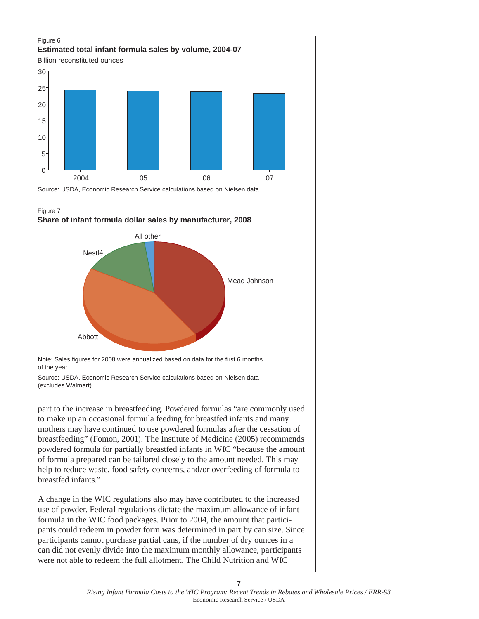## Figure 6 **Estimated total infant formula sales by volume, 2004-07**



Source: USDA, Economic Research Service calculations based on Nielsen data.



**Share of infant formula dollar sales by manufacturer, 2008**



Note: Sales figures for 2008 were annualized based on data for the first 6 months of the year.

part to the increase in breastfeeding. Powdered formulas "are commonly used to make up an occasional formula feeding for breastfed infants and many mothers may have continued to use powdered formulas after the cessation of breastfeeding" (Fomon, 2001). The Institute of Medicine (2005) recommends powdered formula for partially breastfed infants in WIC "because the amount of formula prepared can be tailored closely to the amount needed. This may help to reduce waste, food safety concerns, and/or overfeeding of formula to breastfed infants."

A change in the WIC regulations also may have contributed to the increased use of powder. Federal regulations dictate the maximum allowance of infant formula in the WIC food packages. Prior to 2004, the amount that participants could redeem in powder form was determined in part by can size. Since participants cannot purchase partial cans, if the number of dry ounces in a can did not evenly divide into the maximum monthly allowance, participants were not able to redeem the full allotment. The Child Nutrition and WIC

Source: USDA, Economic Research Service calculations based on Nielsen data (excludes Walmart).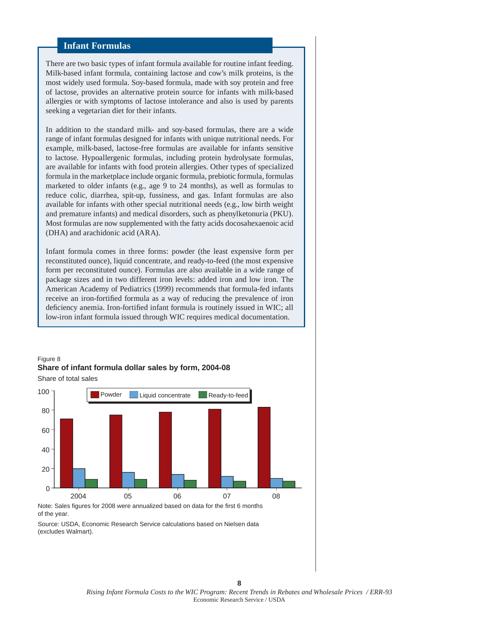#### **Infant Formulas**

There are two basic types of infant formula available for routine infant feeding. Milk-based infant formula, containing lactose and cow's milk proteins, is the most widely used formula. Soy-based formula, made with soy protein and free of lactose, provides an alternative protein source for infants with milk-based allergies or with symptoms of lactose intolerance and also is used by parents seeking a vegetarian diet for their infants.

In addition to the standard milk- and soy-based formulas, there are a wide range of infant formulas designed for infants with unique nutritional needs. For example, milk-based, lactose-free formulas are available for infants sensitive to lactose. Hypoallergenic formulas, including protein hydrolysate formulas, are available for infants with food protein allergies. Other types of specialized formula in the marketplace include organic formula, prebiotic formula, formulas marketed to older infants (e.g., age 9 to 24 months), as well as formulas to reduce colic, diarrhea, spit-up, fussiness, and gas. Infant formulas are also available for infants with other special nutritional needs (e.g., low birth weight and premature infants) and medical disorders, such as phenylketonuria (PKU). Most formulas are now supplemented with the fatty acids docosahexaenoic acid (DHA) and arachidonic acid (ARA).

Infant formula comes in three forms: powder (the least expensive form per reconstituted ounce), liquid concentrate, and ready-to-feed (the most expensive form per reconstituted ounce). Formulas are also available in a wide range of package sizes and in two different iron levels: added iron and low iron. The American Academy of Pediatrics (1999) recommends that formula-fed infants receive an iron-fortified formula as a way of reducing the prevalence of iron deficiency anemia. Iron-fortified infant formula is routinely issued in WIC; all low-iron infant formula issued through WIC requires medical documentation.



#### Figure 8 **Share of infant formula dollar sales by form, 2004-08**

Note: Sales figures for 2008 were annualized based on data for the first 6 months of the year.

Source: USDA, Economic Research Service calculations based on Nielsen data (excludes Walmart).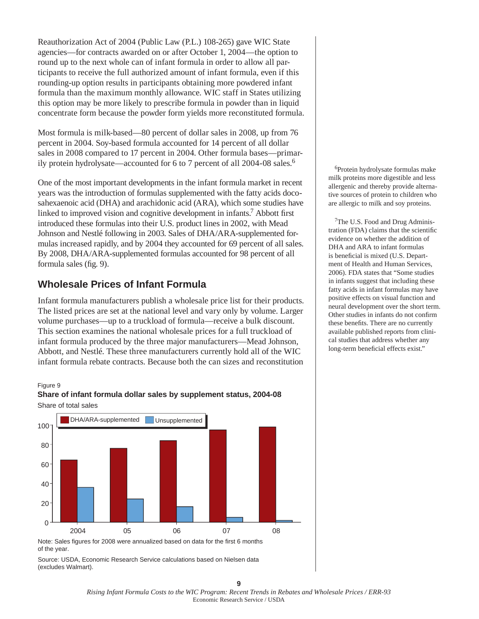Reauthorization Act of 2004 (Public Law (P.L.) 108-265) gave WIC State agencies—for contracts awarded on or after October 1, 2004—the option to round up to the next whole can of infant formula in order to allow all participants to receive the full authorized amount of infant formula, even if this rounding-up option results in participants obtaining more powdered infant formula than the maximum monthly allowance. WIC staff in States utilizing this option may be more likely to prescribe formula in powder than in liquid concentrate form because the powder form yields more reconstituted formula.

Most formula is milk-based—80 percent of dollar sales in 2008, up from 76 percent in 2004. Soy-based formula accounted for 14 percent of all dollar sales in 2008 compared to 17 percent in 2004. Other formula bases—primarily protein hydrolysate—accounted for 6 to 7 percent of all 2004-08 sales.6

One of the most important developments in the infant formula market in recent years was the introduction of formulas supplemented with the fatty acids docosahexaenoic acid (DHA) and arachidonic acid (ARA), which some studies have linked to improved vision and cognitive development in infants.<sup>7</sup> Abbott first introduced these formulas into their U.S. product lines in 2002, with Mead Johnson and Nestlé following in 2003. Sales of DHA/ARA-supplemented formulas increased rapidly, and by 2004 they accounted for 69 percent of all sales. By 2008, DHA/ARA-supplemented formulas accounted for 98 percent of all formula sales (fig. 9).

## **Wholesale Prices of Infant Formula**

Infant formula manufacturers publish a wholesale price list for their products. The listed prices are set at the national level and vary only by volume. Larger volume purchases—up to a truckload of formula—receive a bulk discount. This section examines the national wholesale prices for a full truckload of infant formula produced by the three major manufacturers—Mead Johnson, Abbott, and Nestlé. These three manufacturers currently hold all of the WIC infant formula rebate contracts. Because both the can sizes and reconstitution

#### Figure 9





Note: Sales figures for 2008 were annualized based on data for the first 6 months of the year.

Source: USDA, Economic Research Service calculations based on Nielsen data (excludes Walmart).

6Protein hydrolysate formulas make milk proteins more digestible and less allergenic and thereby provide alternative sources of protein to children who are allergic to milk and soy proteins.

<sup>7</sup>The U.S. Food and Drug Administration (FDA) claims that the scientific evidence on whether the addition of DHA and ARA to infant formulas is beneficial is mixed (U.S. Department of Health and Human Services, 2006). FDA states that "Some studies in infants suggest that including these fatty acids in infant formulas may have positive effects on visual function and neural development over the short term. Other studies in infants do not confirm these benefits. There are no currently available published reports from clinical studies that address whether any long-term beneficial effects exist."

*Rising Infant Formula Costs to the WIC Program: Recent Trends in Rebates and Wholesale Prices / ERR-93* Economic Research Service / USDA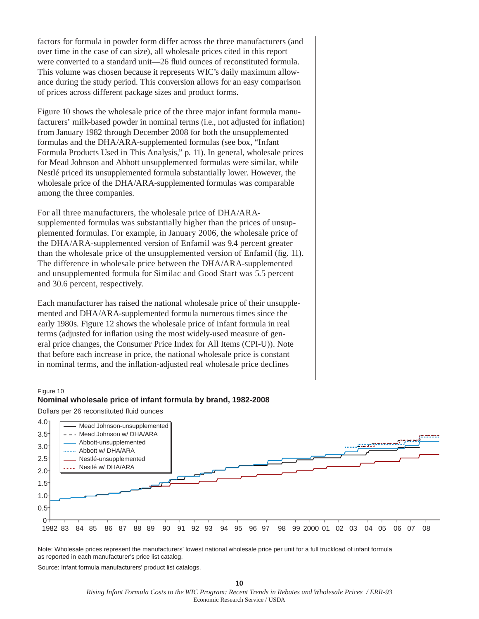factors for formula in powder form differ across the three manufacturers (and over time in the case of can size), all wholesale prices cited in this report were converted to a standard unit—26 fluid ounces of reconstituted formula. This volume was chosen because it represents WIC's daily maximum allowance during the study period. This conversion allows for an easy comparison of prices across different package sizes and product forms.

Figure 10 shows the wholesale price of the three major infant formula manufacturers' milk-based powder in nominal terms (i.e., not adjusted for inflation) from January 1982 through December 2008 for both the unsupplemented formulas and the DHA/ARA-supplemented formulas (see box, "Infant Formula Products Used in This Analysis," p. 11). In general, wholesale prices for Mead Johnson and Abbott unsupplemented formulas were similar, while Nestlé priced its unsupplemented formula substantially lower. However, the wholesale price of the DHA/ARA-supplemented formulas was comparable among the three companies.

For all three manufacturers, the wholesale price of DHA/ARAsupplemented formulas was substantially higher than the prices of unsupplemented formulas. For example, in January 2006, the wholesale price of the DHA/ARA-supplemented version of Enfamil was 9.4 percent greater than the wholesale price of the unsupplemented version of Enfamil (fig. 11). The difference in wholesale price between the DHA/ARA-supplemented and unsupplemented formula for Similac and Good Start was 5.5 percent and 30.6 percent, respectively.

Each manufacturer has raised the national wholesale price of their unsupplemented and DHA/ARA-supplemented formula numerous times since the early 1980s. Figure 12 shows the wholesale price of infant formula in real terms (adjusted for inflation using the most widely-used measure of general price changes, the Consumer Price Index for All Items (CPI-U)). Note that before each increase in price, the national wholesale price is constant in nominal terms, and the inflation-adjusted real wholesale price declines

#### Figure 10





Note: Wholesale prices represent the manufacturers' lowest national wholesale price per unit for a full truckload of infant formula as reported in each manufacturer's price list catalog.

Source: Infant formula manufacturers' product list catalogs.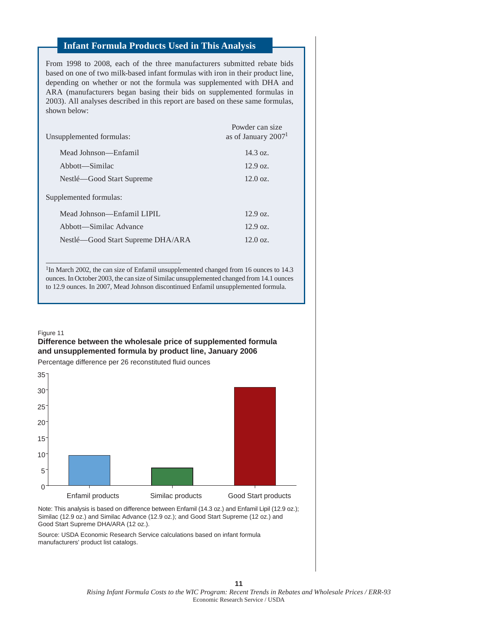#### **Infant Formula Products Used in This Analysis**

From 1998 to 2008, each of the three manufacturers submitted rebate bids based on one of two milk-based infant formulas with iron in their product line, depending on whether or not the formula was supplemented with DHA and ARA (manufacturers began basing their bids on supplemented formulas in 2003). All analyses described in this report are based on these same formulas, shown below:

| Powder can size<br>as of January 2007 <sup>1</sup> |
|----------------------------------------------------|
| $14.3 \text{ oz}$                                  |
| $12.9 \text{ oz}$                                  |
| $12.0 \text{ oz.}$                                 |
|                                                    |
| $12.9 \text{ oz.}$                                 |
| $12.9 \text{ oz}$                                  |
| $12.0 \text{ oz.}$                                 |
|                                                    |

<sup>1</sup>In March 2002, the can size of Enfamil unsupplemented changed from 16 ounces to 14.3 ounces. In October 2003, the can size of Similac unsupplemented changed from 14.1 ounces to 12.9 ounces. In 2007, Mead Johnson discontinued Enfamil unsupplemented formula.

#### Figure 11

**Difference between the wholesale price of supplemented formula and unsupplemented formula by product line, January 2006**



Percentage difference per 26 reconstituted fluid ounces

Note: This analysis is based on difference between Enfamil (14.3 oz.) and Enfamil Lipil (12.9 oz.); Similac (12.9 oz.) and Similac Advance (12.9 oz.); and Good Start Supreme (12 oz.) and Good Start Supreme DHA/ARA (12 oz.).

Source: USDA Economic Research Service calculations based on infant formula manufacturers' product list catalogs.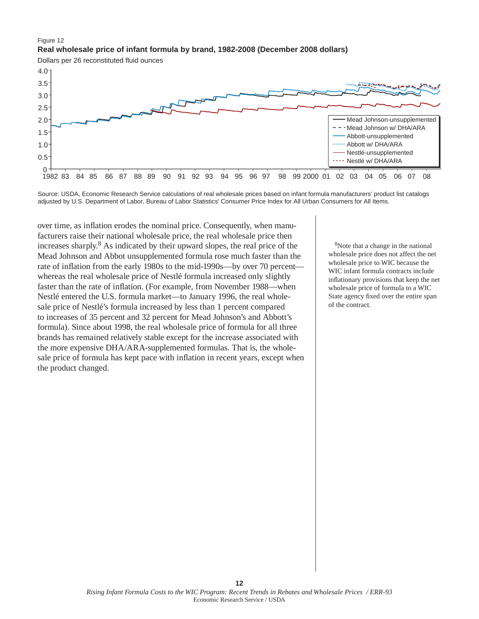





over time, as inflation erodes the nominal price. Consequently, when manufacturers raise their national wholesale price, the real wholesale price then increases sharply. $8$  As indicated by their upward slopes, the real price of the Mead Johnson and Abbot unsupplemented formula rose much faster than the rate of inflation from the early 1980s to the mid-1990s—by over 70 percent whereas the real wholesale price of Nestlé formula increased only slightly faster than the rate of inflation. (For example, from November 1988—when Nestlé entered the U.S. formula market—to January 1996, the real wholesale price of Nestlé's formula increased by less than 1 percent compared to increases of 35 percent and 32 percent for Mead Johnson's and Abbott's formula). Since about 1998, the real wholesale price of formula for all three brands has remained relatively stable except for the increase associated with the more expensive DHA/ARA-supplemented formulas. That is, the wholesale price of formula has kept pace with inflation in recent years, except when the product changed.

8Note that a change in the national wholesale price does not affect the net wholesale price to WIC because the WIC infant formula contracts include inflationary provisions that keep the net wholesale price of formula to a WIC State agency fixed over the entire span of the contract.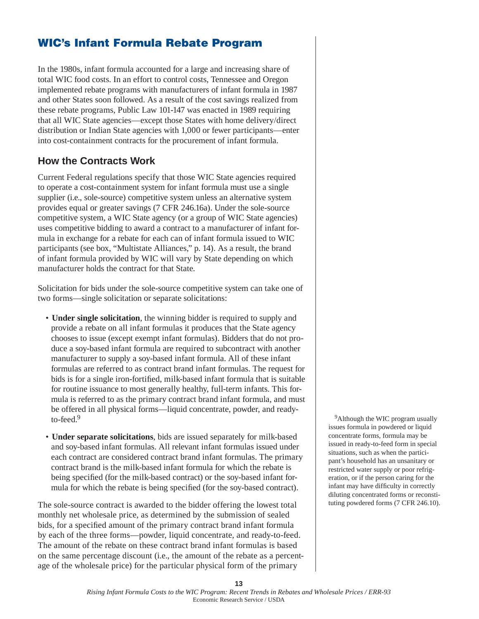## **WIC's Infant Formula Rebate Program**

In the 1980s, infant formula accounted for a large and increasing share of total WIC food costs. In an effort to control costs, Tennessee and Oregon implemented rebate programs with manufacturers of infant formula in 1987 and other States soon followed. As a result of the cost savings realized from these rebate programs, Public Law 101-147 was enacted in 1989 requiring that all WIC State agencies—except those States with home delivery/direct distribution or Indian State agencies with 1,000 or fewer participants—enter into cost-containment contracts for the procurement of infant formula.

## **How the Contracts Work**

Current Federal regulations specify that those WIC State agencies required to operate a cost-containment system for infant formula must use a single supplier (i.e., sole-source) competitive system unless an alternative system provides equal or greater savings (7 CFR 246.16a). Under the sole-source competitive system, a WIC State agency (or a group of WIC State agencies) uses competitive bidding to award a contract to a manufacturer of infant formula in exchange for a rebate for each can of infant formula issued to WIC participants (see box, "Multistate Alliances," p. 14). As a result, the brand of infant formula provided by WIC will vary by State depending on which manufacturer holds the contract for that State.

Solicitation for bids under the sole-source competitive system can take one of two forms—single solicitation or separate solicitations:

- **Under single solicitation**, the winning bidder is required to supply and provide a rebate on all infant formulas it produces that the State agency chooses to issue (except exempt infant formulas). Bidders that do not produce a soy-based infant formula are required to subcontract with another manufacturer to supply a soy-based infant formula. All of these infant formulas are referred to as contract brand infant formulas. The request for bids is for a single iron-fortified, milk-based infant formula that is suitable for routine issuance to most generally healthy, full-term infants. This formula is referred to as the primary contract brand infant formula, and must be offered in all physical forms—liquid concentrate, powder, and readyto-feed.<sup>9</sup>
- **Under separate solicitations**, bids are issued separately for milk-based and soy-based infant formulas. All relevant infant formulas issued under each contract are considered contract brand infant formulas. The primary contract brand is the milk-based infant formula for which the rebate is being specified (for the milk-based contract) or the soy-based infant formula for which the rebate is being specified (for the soy-based contract).

The sole-source contract is awarded to the bidder offering the lowest total monthly net wholesale price, as determined by the submission of sealed bids, for a specified amount of the primary contract brand infant formula by each of the three forms—powder, liquid concentrate, and ready-to-feed. The amount of the rebate on these contract brand infant formulas is based on the same percentage discount (i.e., the amount of the rebate as a percentage of the wholesale price) for the particular physical form of the primary

<sup>9</sup>Although the WIC program usually issues formula in powdered or liquid concentrate forms, formula may be issued in ready-to-feed form in special situations, such as when the participant's household has an unsanitary or restricted water supply or poor refrigeration, or if the person caring for the infant may have difficulty in correctly diluting concentrated forms or reconstituting powdered forms (7 CFR 246.10).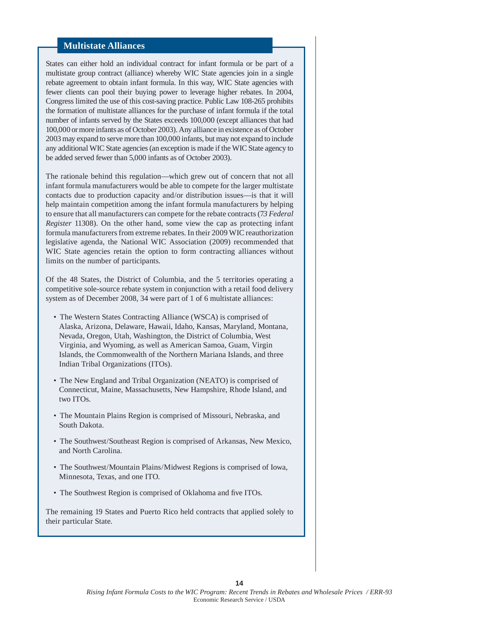#### **Multistate Alliances**

States can either hold an individual contract for infant formula or be part of a multistate group contract (alliance) whereby WIC State agencies join in a single rebate agreement to obtain infant formula. In this way, WIC State agencies with fewer clients can pool their buying power to leverage higher rebates. In 2004, Congress limited the use of this cost-saving practice. Public Law 108-265 prohibits the formation of multistate alliances for the purchase of infant formula if the total number of infants served by the States exceeds 100,000 (except alliances that had 100,000 or more infants as of October 2003). Any alliance in existence as of October 2003 may expand to serve more than 100,000 infants, but may not expand to include any additional WIC State agencies (an exception is made if the WIC State agency to be added served fewer than 5,000 infants as of October 2003).

The rationale behind this regulation—which grew out of concern that not all infant formula manufacturers would be able to compete for the larger multistate contacts due to production capacity and/or distribution issues—is that it will help maintain competition among the infant formula manufacturers by helping to ensure that all manufacturers can compete for the rebate contracts (7*3 Federal Register* 11308). On the other hand, some view the cap as protecting infant formula manufacturers from extreme rebates. In their 2009 WIC reauthorization legislative agenda, the National WIC Association (2009) recommended that WIC State agencies retain the option to form contracting alliances without limits on the number of participants.

Of the 48 States, the District of Columbia, and the 5 territories operating a competitive sole-source rebate system in conjunction with a retail food delivery system as of December 2008, 34 were part of 1 of 6 multistate alliances:

- The Western States Contracting Alliance (WSCA) is comprised of Alaska, Arizona, Delaware, Hawaii, Idaho, Kansas, Maryland, Montana, Nevada, Oregon, Utah, Washington, the District of Columbia, West Virginia, and Wyoming, as well as American Samoa, Guam, Virgin Islands, the Commonwealth of the Northern Mariana Islands, and three Indian Tribal Organizations (ITOs).
- The New England and Tribal Organization (NEATO) is comprised of Connecticut, Maine, Massachusetts, New Hampshire, Rhode Island, and two ITOs.
- The Mountain Plains Region is comprised of Missouri, Nebraska, and South Dakota.
- The Southwest/Southeast Region is comprised of Arkansas, New Mexico, and North Carolina.
- The Southwest/Mountain Plains/Midwest Regions is comprised of Iowa, Minnesota, Texas, and one ITO.
- The Southwest Region is comprised of Oklahoma and five ITOs.

The remaining 19 States and Puerto Rico held contracts that applied solely to their particular State.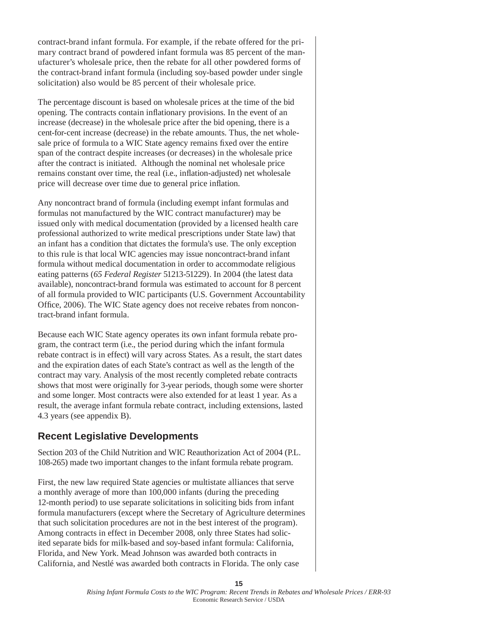contract-brand infant formula. For example, if the rebate offered for the primary contract brand of powdered infant formula was 85 percent of the manufacturer's wholesale price, then the rebate for all other powdered forms of the contract-brand infant formula (including soy-based powder under single solicitation) also would be 85 percent of their wholesale price.

The percentage discount is based on wholesale prices at the time of the bid opening. The contracts contain inflationary provisions. In the event of an increase (decrease) in the wholesale price after the bid opening, there is a cent-for-cent increase (decrease) in the rebate amounts. Thus, the net wholesale price of formula to a WIC State agency remains fixed over the entire span of the contract despite increases (or decreases) in the wholesale price after the contract is initiated. Although the nominal net wholesale price remains constant over time, the real (i.e., inflation-adjusted) net wholesale price will decrease over time due to general price inflation.

Any noncontract brand of formula (including exempt infant formulas and formulas not manufactured by the WIC contract manufacturer) may be issued only with medical documentation (provided by a licensed health care professional authorized to write medical prescriptions under State law) that an infant has a condition that dictates the formula's use. The only exception to this rule is that local WIC agencies may issue noncontract-brand infant formula without medical documentation in order to accommodate religious eating patterns (*65 Federal Register* 51213-51229). In 2004 (the latest data available), noncontract-brand formula was estimated to account for 8 percent of all formula provided to WIC participants (U.S. Government Accountability Office, 2006). The WIC State agency does not receive rebates from noncontract-brand infant formula.

Because each WIC State agency operates its own infant formula rebate program, the contract term (i.e., the period during which the infant formula rebate contract is in effect) will vary across States. As a result, the start dates and the expiration dates of each State's contract as well as the length of the contract may vary. Analysis of the most recently completed rebate contracts shows that most were originally for 3-year periods, though some were shorter and some longer. Most contracts were also extended for at least 1 year. As a result, the average infant formula rebate contract, including extensions, lasted 4.3 years (see appendix B).

## **Recent Legislative Developments**

Section 203 of the Child Nutrition and WIC Reauthorization Act of 2004 (P.L. 108-265) made two important changes to the infant formula rebate program.

First, the new law required State agencies or multistate alliances that serve a monthly average of more than 100,000 infants (during the preceding 12-month period) to use separate solicitations in soliciting bids from infant formula manufacturers (except where the Secretary of Agriculture determines that such solicitation procedures are not in the best interest of the program). Among contracts in effect in December 2008, only three States had solicited separate bids for milk-based and soy-based infant formula: California, Florida, and New York. Mead Johnson was awarded both contracts in California, and Nestlé was awarded both contracts in Florida. The only case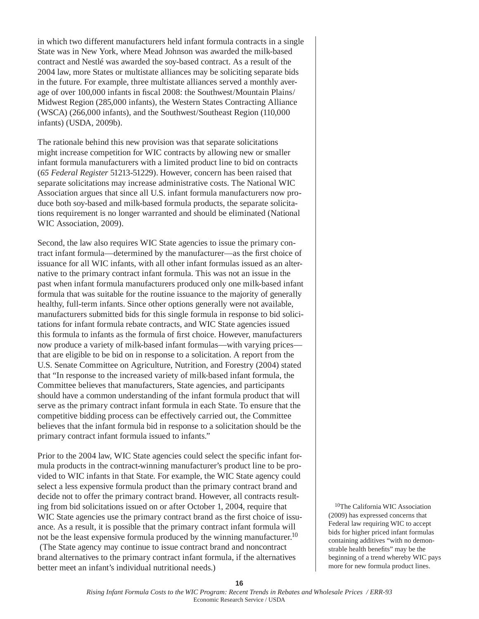in which two different manufacturers held infant formula contracts in a single State was in New York, where Mead Johnson was awarded the milk-based contract and Nestlé was awarded the soy-based contract. As a result of the 2004 law, more States or multistate alliances may be soliciting separate bids in the future. For example, three multistate alliances served a monthly average of over 100,000 infants in fiscal 2008: the Southwest/Mountain Plains/ Midwest Region (285,000 infants), the Western States Contracting Alliance (WSCA) (266,000 infants), and the Southwest/Southeast Region (110,000 infants) (USDA, 2009b).

The rationale behind this new provision was that separate solicitations might increase competition for WIC contracts by allowing new or smaller infant formula manufacturers with a limited product line to bid on contracts (*65 Federal Register* 51213-51229). However, concern has been raised that separate solicitations may increase administrative costs. The National WIC Association argues that since all U.S. infant formula manufacturers now produce both soy-based and milk-based formula products, the separate solicitations requirement is no longer warranted and should be eliminated (National WIC Association, 2009).

Second, the law also requires WIC State agencies to issue the primary contract infant formula—determined by the manufacturer—as the first choice of issuance for all WIC infants, with all other infant formulas issued as an alternative to the primary contract infant formula. This was not an issue in the past when infant formula manufacturers produced only one milk-based infant formula that was suitable for the routine issuance to the majority of generally healthy, full-term infants. Since other options generally were not available, manufacturers submitted bids for this single formula in response to bid solicitations for infant formula rebate contracts, and WIC State agencies issued this formula to infants as the formula of first choice. However, manufacturers now produce a variety of milk-based infant formulas—with varying prices that are eligible to be bid on in response to a solicitation. A report from the U.S. Senate Committee on Agriculture, Nutrition, and Forestry (2004) stated that "In response to the increased variety of milk-based infant formula, the Committee believes that manufacturers, State agencies, and participants should have a common understanding of the infant formula product that will serve as the primary contract infant formula in each State. To ensure that the competitive bidding process can be effectively carried out, the Committee believes that the infant formula bid in response to a solicitation should be the primary contract infant formula issued to infants."

Prior to the 2004 law, WIC State agencies could select the specific infant formula products in the contract-winning manufacturer's product line to be provided to WIC infants in that State. For example, the WIC State agency could select a less expensive formula product than the primary contract brand and decide not to offer the primary contract brand. However, all contracts resulting from bid solicitations issued on or after October 1, 2004, require that WIC State agencies use the primary contract brand as the first choice of issuance. As a result, it is possible that the primary contract infant formula will not be the least expensive formula produced by the winning manufacturer.<sup>10</sup> (The State agency may continue to issue contract brand and noncontract brand alternatives to the primary contract infant formula, if the alternatives better meet an infant's individual nutritional needs.)

10The California WIC Association (2009) has expressed concerns that Federal law requiring WIC to accept bids for higher priced infant formulas containing additives "with no demonstrable health benefits" may be the beginning of a trend whereby WIC pays more for new formula product lines.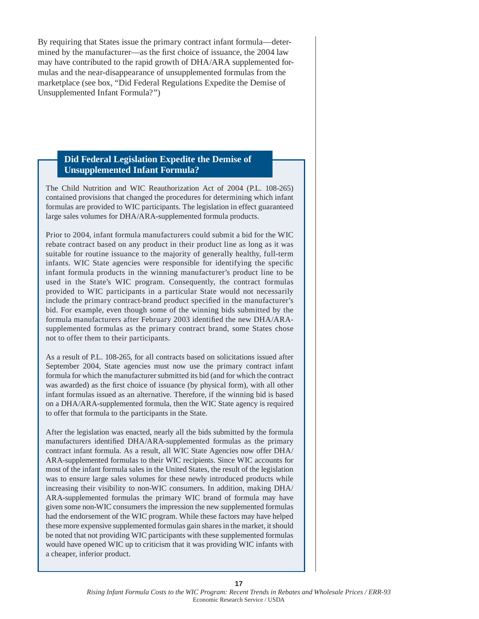By requiring that States issue the primary contract infant formula—determined by the manufacturer—as the first choice of issuance, the 2004 law may have contributed to the rapid growth of DHA/ARA supplemented formulas and the near-disappearance of unsupplemented formulas from the marketplace (see box, "Did Federal Regulations Expedite the Demise of Unsupplemented Infant Formula?")

#### **Did Federal Legislation Expedite the Demise of Unsupplemented Infant Formula?**

The Child Nutrition and WIC Reauthorization Act of 2004 (P.L. 108-265) contained provisions that changed the procedures for determining which infant formulas are provided to WIC participants. The legislation in effect guaranteed large sales volumes for DHA/ARA-supplemented formula products.

Prior to 2004, infant formula manufacturers could submit a bid for the WIC rebate contract based on any product in their product line as long as it was suitable for routine issuance to the majority of generally healthy, full-term infants. WIC State agencies were responsible for identifying the specific infant formula products in the winning manufacturer's product line to be used in the State's WIC program. Consequently, the contract formulas provided to WIC participants in a particular State would not necessarily include the primary contract-brand product specified in the manufacturer's bid. For example, even though some of the winning bids submitted by the formula manufacturers after February 2003 identified the new DHA/ARAsupplemented formulas as the primary contract brand, some States chose not to offer them to their participants.

As a result of P.L. 108-265, for all contracts based on solicitations issued after September 2004, State agencies must now use the primary contract infant formula for which the manufacturer submitted its bid (and for which the contract was awarded) as the first choice of issuance (by physical form), with all other infant formulas issued as an alternative. Therefore, if the winning bid is based on a DHA/ARA-supplemented formula, then the WIC State agency is required to offer that formula to the participants in the State.

After the legislation was enacted, nearly all the bids submitted by the formula manufacturers identified DHA/ARA-supplemented formulas as the primary contract infant formula. As a result, all WIC State Agencies now offer DHA/ ARA-supplemented formulas to their WIC recipients. Since WIC accounts for most of the infant formula sales in the United States, the result of the legislation was to ensure large sales volumes for these newly introduced products while increasing their visibility to non-WIC consumers. In addition, making DHA/ ARA-supplemented formulas the primary WIC brand of formula may have given some non-WIC consumers the impression the new supplemented formulas had the endorsement of the WIC program. While these factors may have helped these more expensive supplemented formulas gain shares in the market, it should be noted that not providing WIC participants with these supplemented formulas would have opened WIC up to criticism that it was providing WIC infants with a cheaper, inferior product.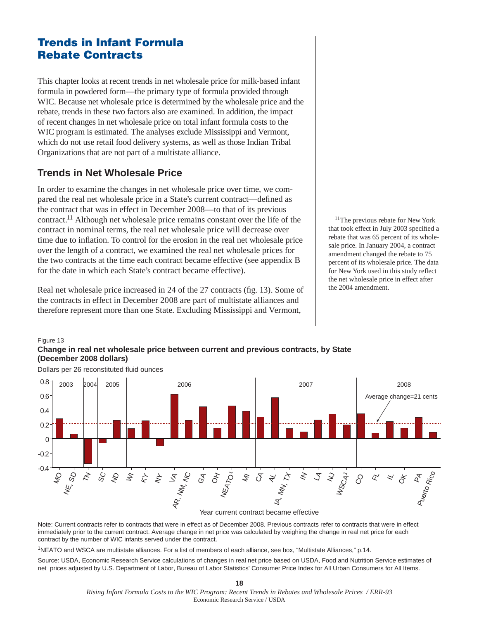## **Trends in Infant Formula Rebate Contracts**

This chapter looks at recent trends in net wholesale price for milk-based infant formula in powdered form—the primary type of formula provided through WIC. Because net wholesale price is determined by the wholesale price and the rebate, trends in these two factors also are examined. In addition, the impact of recent changes in net wholesale price on total infant formula costs to the WIC program is estimated. The analyses exclude Mississippi and Vermont, which do not use retail food delivery systems, as well as those Indian Tribal Organizations that are not part of a multistate alliance.

## **Trends in Net Wholesale Price**

In order to examine the changes in net wholesale price over time, we compared the real net wholesale price in a State's current contract—defined as the contract that was in effect in December 2008—to that of its previous contract.11 Although net wholesale price remains constant over the life of the contract in nominal terms, the real net wholesale price will decrease over time due to inflation. To control for the erosion in the real net wholesale price over the length of a contract, we examined the real net wholesale prices for the two contracts at the time each contract became effective (see appendix B for the date in which each State's contract became effective).

Real net wholesale price increased in 24 of the 27 contracts (fig. 13). Some of the contracts in effect in December 2008 are part of multistate alliances and therefore represent more than one State. Excluding Mississippi and Vermont,

11The previous rebate for New York that took effect in July 2003 specified a rebate that was 65 percent of its wholesale price. In January 2004, a contract amendment changed the rebate to 75 percent of its wholesale price. The data for New York used in this study reflect the net wholesale price in effect after the 2004 amendment.

## Figure 13

#### **Change in real net wholesale price between current and previous contracts, by State (December 2008 dollars)**



Dollars per 26 reconstituted fluid ounces

Note: Current contracts refer to contracts that were in effect as of December 2008. Previous contracts refer to contracts that were in effect immediately prior to the current contract. Average change in net price was calculated by weighing the change in real net price for each contract by the number of WIC infants served under the contract.

1NEATO and WSCA are multistate alliances. For a list of members of each alliance, see box, "Multistate Alliances," p.14.

Source: USDA, Economic Research Service calculations of changes in real net price based on USDA, Food and Nutrition Service estimates of net prices adjusted by U.S. Department of Labor, Bureau of Labor Statistics' Consumer Price Index for All Urban Consumers for All Items.

> *Rising Infant Formula Costs to the WIC Program: Recent Trends in Rebates and Wholesale Prices / ERR-93* Economic Research Service / USDA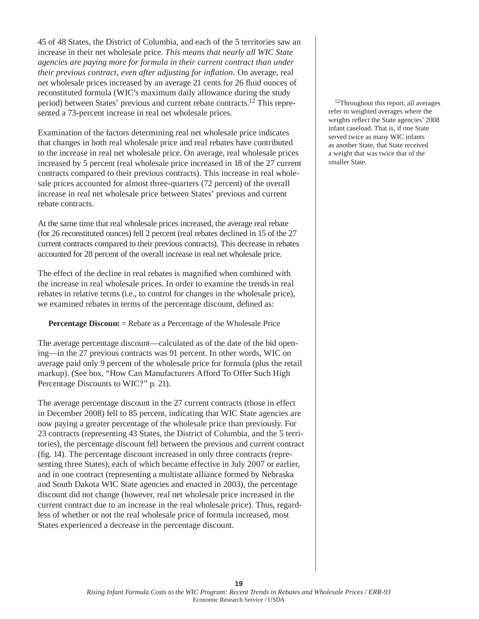45 of 48 States, the District of Columbia, and each of the 5 territories saw an increase in their net wholesale price. *This means that nearly all WIC State agencies are paying more for formula in their current contract than under their previous contract, even after adjusting for inflation.* On average, real net wholesale prices increased by an average 21 cents for 26 fluid ounces of reconstituted formula (WIC's maximum daily allowance during the study period) between States' previous and current rebate contracts.12 This represented a 73-percent increase in real net wholesale prices.

Examination of the factors determining real net wholesale price indicates that changes in both real wholesale price and real rebates have contributed to the increase in real net wholesale price. On average, real wholesale prices increased by 5 percent (real wholesale price increased in 18 of the 27 current contracts compared to their previous contracts). This increase in real wholesale prices accounted for almost three-quarters (72 percent) of the overall increase in real net wholesale price between States' previous and current rebate contracts.

At the same time that real wholesale prices increased, the average real rebate (for 26 reconstituted ounces) fell 2 percent (real rebates declined in 15 of the 27 current contracts compared to their previous contracts). This decrease in rebates accounted for 28 percent of the overall increase in real net wholesale price.

The effect of the decline in real rebates is magnified when combined with the increase in real wholesale prices. In order to examine the trends in real rebates in relative terms (i.e., to control for changes in the wholesale price), we examined rebates in terms of the percentage discount, defined as:

**Percentage Discount** = Rebate as a Percentage of the Wholesale Price

The average percentage discount—calculated as of the date of the bid opening—in the 27 previous contracts was 91 percent. In other words, WIC on average paid only 9 percent of the wholesale price for formula (plus the retail markup). (See box, "How Can Manufacturers Afford To Offer Such High Percentage Discounts to WIC?" p. 21).

The average percentage discount in the 27 current contracts (those in effect in December 2008) fell to 85 percent, indicating that WIC State agencies are now paying a greater percentage of the wholesale price than previously. For 23 contracts (representing 43 States, the District of Columbia, and the 5 territories), the percentage discount fell between the previous and current contract (fig. 14). The percentage discount increased in only three contracts (representing three States), each of which became effective in July 2007 or earlier, and in one contract (representing a multistate alliance formed by Nebraska and South Dakota WIC State agencies and enacted in 2003), the percentage discount did not change (however, real net wholesale price increased in the current contract due to an increase in the real wholesale price). Thus, regardless of whether or not the real wholesale price of formula increased, most States experienced a decrease in the percentage discount.

<sup>12</sup>Throughout this report, all averages refer to weighted averages where the weights reflect the State agencies' 2008 infant caseload. That is, if one State served twice as many WIC infants as another State, that State received a weight that was twice that of the smaller State.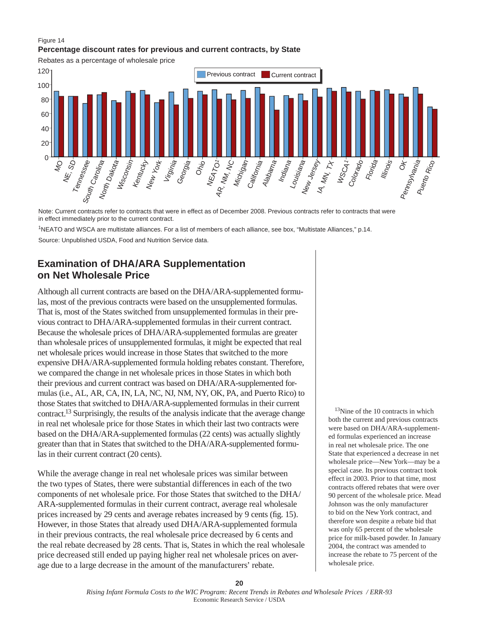#### Figure 14 **Percentage discount rates for previous and current contracts, by State**





Note: Current contracts refer to contracts that were in effect as of December 2008. Previous contracts refer to contracts that were in effect immediately prior to the current contract.

1NEATO and WSCA are multistate alliances. For a list of members of each alliance, see box, "Multistate Alliances," p.14. Source: Unpublished USDA, Food and Nutrition Service data.

## **Examination of DHA/ARA Supplementation on Net Wholesale Price**

Although all current contracts are based on the DHA/ARA-supplemented formulas, most of the previous contracts were based on the unsupplemented formulas. That is, most of the States switched from unsupplemented formulas in their previous contract to DHA/ARA-supplemented formulas in their current contract. Because the wholesale prices of DHA/ARA-supplemented formulas are greater than wholesale prices of unsupplemented formulas, it might be expected that real net wholesale prices would increase in those States that switched to the more expensive DHA/ARA-supplemented formula holding rebates constant. Therefore, we compared the change in net wholesale prices in those States in which both their previous and current contract was based on DHA/ARA-supplemented formulas (i.e., AL, AR, CA, IN, LA, NC, NJ, NM, NY, OK, PA, and Puerto Rico) to those States that switched to DHA/ARA-supplemented formulas in their current contract.13 Surprisingly, the results of the analysis indicate that the average change in real net wholesale price for those States in which their last two contracts were based on the DHA/ARA-supplemented formulas (22 cents) was actually slightly greater than that in States that switched to the DHA/ARA-supplemented formulas in their current contract (20 cents).

While the average change in real net wholesale prices was similar between the two types of States, there were substantial differences in each of the two components of net wholesale price. For those States that switched to the DHA/ ARA-supplemented formulas in their current contract, average real wholesale prices increased by 29 cents and average rebates increased by 9 cents (fig. 15). However, in those States that already used DHA/ARA-supplemented formula in their previous contracts, the real wholesale price decreased by 6 cents and the real rebate decreased by 28 cents. That is, States in which the real wholesale price decreased still ended up paying higher real net wholesale prices on average due to a large decrease in the amount of the manufacturers' rebate.

<sup>13</sup>Nine of the 10 contracts in which both the current and previous contracts were based on DHA/ARA-supplemented formulas experienced an increase in real net wholesale price. The one State that experienced a decrease in net wholesale price—New York—may be a special case. Its previous contract took effect in 2003. Prior to that time, most contracts offered rebates that were over 90 percent of the wholesale price. Mead Johnson was the only manufacturer to bid on the New York contract, and therefore won despite a rebate bid that was only 65 percent of the wholesale price for milk-based powder. In January 2004, the contract was amended to increase the rebate to 75 percent of the wholesale price.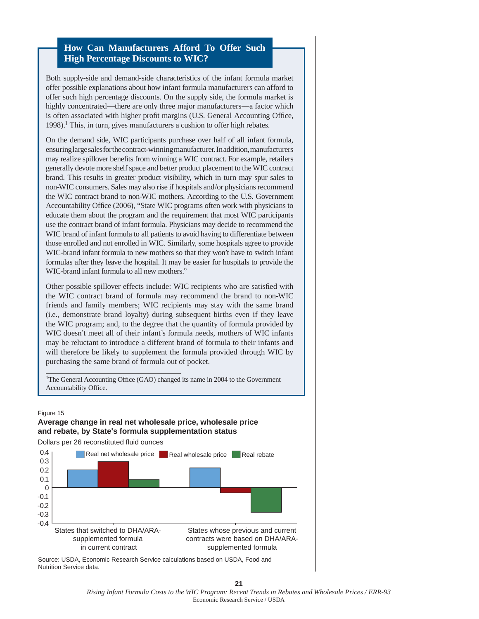#### **How Can Manufacturers Afford To Offer Such High Percentage Discounts to WIC?**

Both supply-side and demand-side characteristics of the infant formula market offer possible explanations about how infant formula manufacturers can afford to offer such high percentage discounts. On the supply side, the formula market is highly concentrated—there are only three major manufacturers—a factor which is often associated with higher profit margins (U.S. General Accounting Office, 1998).<sup>1</sup> This, in turn, gives manufacturers a cushion to offer high rebates.

On the demand side, WIC participants purchase over half of all infant formula, ensuring large sales for the contract-winning manufacturer. In addition, manufacturers may realize spillover benefits from winning a WIC contract. For example, retailers generally devote more shelf space and better product placement to the WIC contract brand. This results in greater product visibility, which in turn may spur sales to non-WIC consumers. Sales may also rise if hospitals and/or physicians recommend the WIC contract brand to non-WIC mothers. According to the U.S. Government Accountability Office (2006), "State WIC programs often work with physicians to educate them about the program and the requirement that most WIC participants use the contract brand of infant formula. Physicians may decide to recommend the WIC brand of infant formula to all patients to avoid having to differentiate between those enrolled and not enrolled in WIC. Similarly, some hospitals agree to provide WIC-brand infant formula to new mothers so that they won't have to switch infant formulas after they leave the hospital. It may be easier for hospitals to provide the WIC-brand infant formula to all new mothers."

Other possible spillover effects include: WIC recipients who are satisfied with the WIC contract brand of formula may recommend the brand to non-WIC friends and family members; WIC recipients may stay with the same brand (i.e., demonstrate brand loyalty) during subsequent births even if they leave the WIC program; and, to the degree that the quantity of formula provided by WIC doesn't meet all of their infant's formula needs, mothers of WIC infants may be reluctant to introduce a different brand of formula to their infants and will therefore be likely to supplement the formula provided through WIC by purchasing the same brand of formula out of pocket.

<sup>1</sup>The General Accounting Office (GAO) changed its name in 2004 to the Government Accountability Office.

#### Figure 15

#### **Average change in real net wholesale price, wholesale price and rebate, by State's formula supplementation status**

Dollars per 26 reconstituted fluid ounces



Source: USDA, Economic Research Service calculations based on USDA, Food and Nutrition Service data.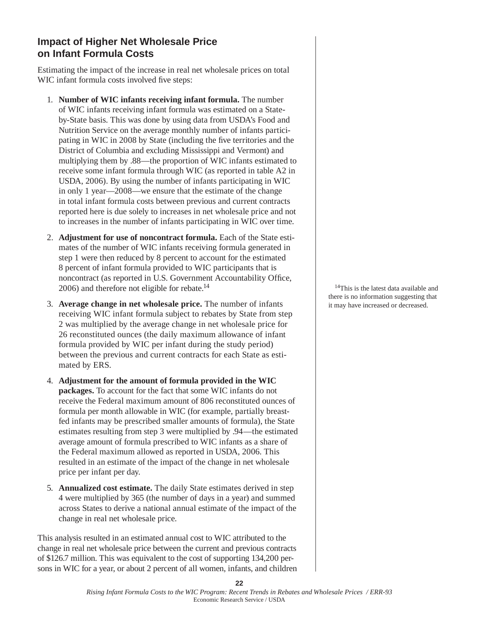## **Impact of Higher Net Wholesale Price on Infant Formula Costs**

Estimating the impact of the increase in real net wholesale prices on total WIC infant formula costs involved five steps:

- 1. **Number of WIC infants receiving infant formula.** The number of WIC infants receiving infant formula was estimated on a Stateby-State basis. This was done by using data from USDA's Food and Nutrition Service on the average monthly number of infants participating in WIC in 2008 by State (including the five territories and the District of Columbia and excluding Mississippi and Vermont) and multiplying them by .88—the proportion of WIC infants estimated to receive some infant formula through WIC (as reported in table A2 in USDA, 2006). By using the number of infants participating in WIC in only 1 year—2008—we ensure that the estimate of the change in total infant formula costs between previous and current contracts reported here is due solely to increases in net wholesale price and not to increases in the number of infants participating in WIC over time.
- 2. **Adjustment for use of noncontract formula.** Each of the State estimates of the number of WIC infants receiving formula generated in step 1 were then reduced by 8 percent to account for the estimated 8 percent of infant formula provided to WIC participants that is noncontract (as reported in U.S. Government Accountability Office, 2006) and therefore not eligible for rebate.14
- 3. **Average change in net wholesale price.** The number of infants receiving WIC infant formula subject to rebates by State from step 2 was multiplied by the average change in net wholesale price for 26 reconstituted ounces (the daily maximum allowance of infant formula provided by WIC per infant during the study period) between the previous and current contracts for each State as estimated by ERS.
- 4. **Adjustment for the amount of formula provided in the WIC packages.** To account for the fact that some WIC infants do not receive the Federal maximum amount of 806 reconstituted ounces of formula per month allowable in WIC (for example, partially breastfed infants may be prescribed smaller amounts of formula), the State estimates resulting from step 3 were multiplied by .94—the estimated average amount of formula prescribed to WIC infants as a share of the Federal maximum allowed as reported in USDA, 2006. This resulted in an estimate of the impact of the change in net wholesale price per infant per day.
- 5. **Annualized cost estimate.** The daily State estimates derived in step 4 were multiplied by 365 (the number of days in a year) and summed across States to derive a national annual estimate of the impact of the change in real net wholesale price.

This analysis resulted in an estimated annual cost to WIC attributed to the change in real net wholesale price between the current and previous contracts of \$126.7 million. This was equivalent to the cost of supporting 134,200 persons in WIC for a year, or about 2 percent of all women, infants, and children

<sup>14</sup>This is the latest data available and there is no information suggesting that it may have increased or decreased.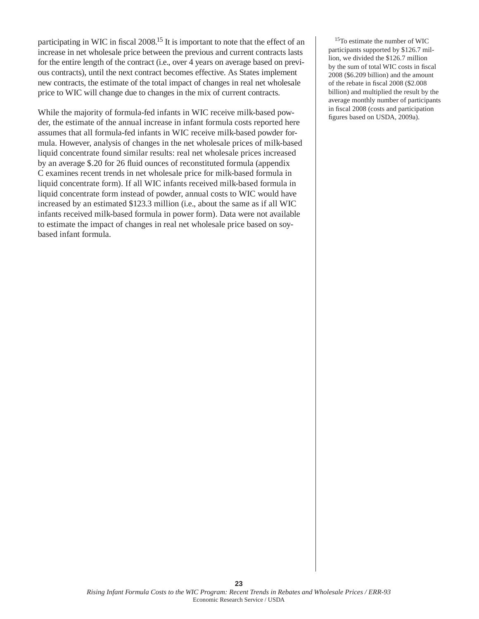participating in WIC in fiscal  $2008$ .<sup>15</sup> It is important to note that the effect of an increase in net wholesale price between the previous and current contracts lasts for the entire length of the contract (i.e., over 4 years on average based on previous contracts), until the next contract becomes effective. As States implement new contracts, the estimate of the total impact of changes in real net wholesale price to WIC will change due to changes in the mix of current contracts.

While the majority of formula-fed infants in WIC receive milk-based powder, the estimate of the annual increase in infant formula costs reported here assumes that all formula-fed infants in WIC receive milk-based powder formula. However, analysis of changes in the net wholesale prices of milk-based liquid concentrate found similar results: real net wholesale prices increased by an average \$.20 for 26 fluid ounces of reconstituted formula (appendix C examines recent trends in net wholesale price for milk-based formula in liquid concentrate form). If all WIC infants received milk-based formula in liquid concentrate form instead of powder, annual costs to WIC would have increased by an estimated \$123.3 million (i.e., about the same as if all WIC infants received milk-based formula in power form). Data were not available to estimate the impact of changes in real net wholesale price based on soybased infant formula.

15To estimate the number of WIC participants supported by \$126.7 million, we divided the \$126.7 million by the sum of total WIC costs in fiscal 2008 (\$6.209 billion) and the amount of the rebate in fiscal 2008 (\$2.008) billion) and multiplied the result by the average monthly number of participants in fiscal 2008 (costs and participation figures based on USDA, 2009a).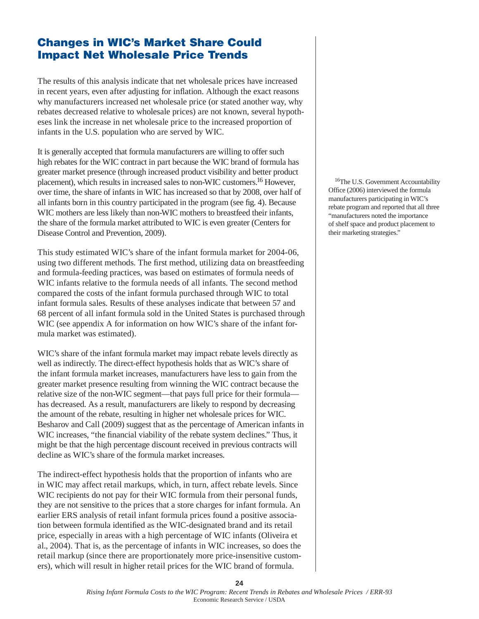## **Changes in WIC's Market Share Could Impact Net Wholesale Price Trends**

The results of this analysis indicate that net wholesale prices have increased in recent years, even after adjusting for inflation. Although the exact reasons why manufacturers increased net wholesale price (or stated another way, why rebates decreased relative to wholesale prices) are not known, several hypotheses link the increase in net wholesale price to the increased proportion of infants in the U.S. population who are served by WIC.

It is generally accepted that formula manufacturers are willing to offer such high rebates for the WIC contract in part because the WIC brand of formula has greater market presence (through increased product visibility and better product placement), which results in increased sales to non-WIC customers.16 However, over time, the share of infants in WIC has increased so that by 2008, over half of all infants born in this country participated in the program (see fig. 4). Because WIC mothers are less likely than non-WIC mothers to breastfeed their infants, the share of the formula market attributed to WIC is even greater (Centers for Disease Control and Prevention, 2009).

This study estimated WIC's share of the infant formula market for 2004-06, using two different methods. The first method, utilizing data on breastfeeding and formula-feeding practices, was based on estimates of formula needs of WIC infants relative to the formula needs of all infants. The second method compared the costs of the infant formula purchased through WIC to total infant formula sales. Results of these analyses indicate that between 57 and 68 percent of all infant formula sold in the United States is purchased through WIC (see appendix A for information on how WIC's share of the infant formula market was estimated).

WIC's share of the infant formula market may impact rebate levels directly as well as indirectly. The direct-effect hypothesis holds that as WIC's share of the infant formula market increases, manufacturers have less to gain from the greater market presence resulting from winning the WIC contract because the relative size of the non-WIC segment—that pays full price for their formula has decreased. As a result, manufacturers are likely to respond by decreasing the amount of the rebate, resulting in higher net wholesale prices for WIC. Besharov and Call (2009) suggest that as the percentage of American infants in WIC increases, "the financial viability of the rebate system declines." Thus, it might be that the high percentage discount received in previous contracts will decline as WIC's share of the formula market increases.

The indirect-effect hypothesis holds that the proportion of infants who are in WIC may affect retail markups, which, in turn, affect rebate levels. Since WIC recipients do not pay for their WIC formula from their personal funds, they are not sensitive to the prices that a store charges for infant formula. An earlier ERS analysis of retail infant formula prices found a positive association between formula identified as the WIC-designated brand and its retail price, especially in areas with a high percentage of WIC infants (Oliveira et al., 2004). That is, as the percentage of infants in WIC increases, so does the retail markup (since there are proportionately more price-insensitive customers), which will result in higher retail prices for the WIC brand of formula.

<sup>16</sup>The U.S. Government Accountability Office (2006) interviewed the formula manufacturers participating in WIC's rebate program and reported that all three "manufacturers noted the importance of shelf space and product placement to their marketing strategies."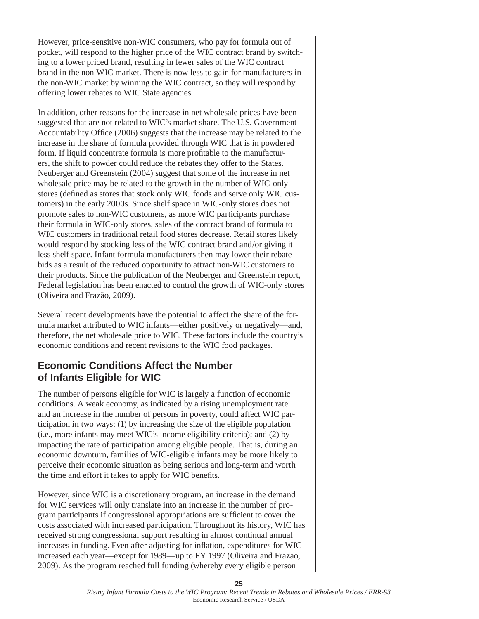However, price-sensitive non-WIC consumers, who pay for formula out of pocket, will respond to the higher price of the WIC contract brand by switching to a lower priced brand, resulting in fewer sales of the WIC contract brand in the non-WIC market. There is now less to gain for manufacturers in the non-WIC market by winning the WIC contract, so they will respond by offering lower rebates to WIC State agencies.

In addition, other reasons for the increase in net wholesale prices have been suggested that are not related to WIC's market share. The U.S. Government Accountability Office (2006) suggests that the increase may be related to the increase in the share of formula provided through WIC that is in powdered form. If liquid concentrate formula is more profitable to the manufacturers, the shift to powder could reduce the rebates they offer to the States. Neuberger and Greenstein (2004) suggest that some of the increase in net wholesale price may be related to the growth in the number of WIC-only stores (defined as stores that stock only WIC foods and serve only WIC customers) in the early 2000s. Since shelf space in WIC-only stores does not promote sales to non-WIC customers, as more WIC participants purchase their formula in WIC-only stores, sales of the contract brand of formula to WIC customers in traditional retail food stores decrease. Retail stores likely would respond by stocking less of the WIC contract brand and/or giving it less shelf space. Infant formula manufacturers then may lower their rebate bids as a result of the reduced opportunity to attract non-WIC customers to their products. Since the publication of the Neuberger and Greenstein report, Federal legislation has been enacted to control the growth of WIC-only stores (Oliveira and Frazão, 2009).

Several recent developments have the potential to affect the share of the formula market attributed to WIC infants—either positively or negatively—and, therefore, the net wholesale price to WIC. These factors include the country's economic conditions and recent revisions to the WIC food packages.

## **Economic Conditions Affect the Number of Infants Eligible for WIC**

The number of persons eligible for WIC is largely a function of economic conditions. A weak economy, as indicated by a rising unemployment rate and an increase in the number of persons in poverty, could affect WIC participation in two ways: (1) by increasing the size of the eligible population (i.e., more infants may meet WIC's income eligibility criteria); and (2) by impacting the rate of participation among eligible people. That is, during an economic downturn, families of WIC-eligible infants may be more likely to perceive their economic situation as being serious and long-term and worth the time and effort it takes to apply for WIC benefits.

However, since WIC is a discretionary program, an increase in the demand for WIC services will only translate into an increase in the number of program participants if congressional appropriations are sufficient to cover the costs associated with increased participation. Throughout its history, WIC has received strong congressional support resulting in almost continual annual increases in funding. Even after adjusting for inflation, expenditures for WIC increased each year—except for 1989—up to FY 1997 (Oliveira and Frazao, 2009). As the program reached full funding (whereby every eligible person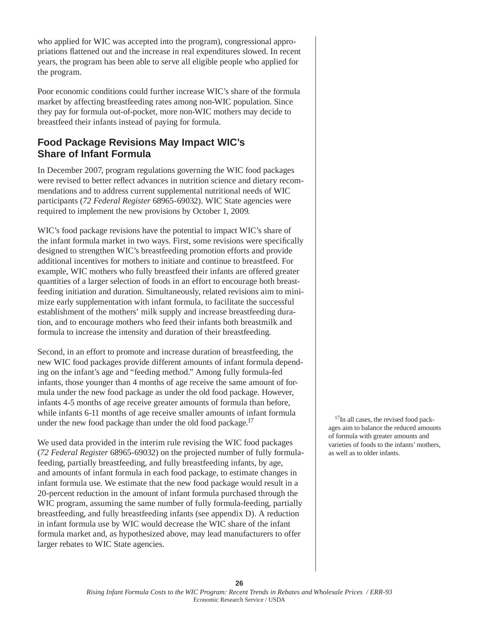who applied for WIC was accepted into the program), congressional appropriations flattened out and the increase in real expenditures slowed. In recent years, the program has been able to serve all eligible people who applied for the program.

Poor economic conditions could further increase WIC's share of the formula market by affecting breastfeeding rates among non-WIC population. Since they pay for formula out-of-pocket, more non-WIC mothers may decide to breastfeed their infants instead of paying for formula.

## **Food Package Revisions May Impact WIC's Share of Infant Formula**

In December 2007, program regulations governing the WIC food packages were revised to better reflect advances in nutrition science and dietary recommendations and to address current supplemental nutritional needs of WIC participants (*72 Federal Register* 68965-69032). WIC State agencies were required to implement the new provisions by October 1, 2009.

WIC's food package revisions have the potential to impact WIC's share of the infant formula market in two ways. First, some revisions were specifically designed to strengthen WIC's breastfeeding promotion efforts and provide additional incentives for mothers to initiate and continue to breastfeed. For example, WIC mothers who fully breastfeed their infants are offered greater quantities of a larger selection of foods in an effort to encourage both breastfeeding initiation and duration. Simultaneously, related revisions aim to minimize early supplementation with infant formula, to facilitate the successful establishment of the mothers' milk supply and increase breastfeeding duration, and to encourage mothers who feed their infants both breastmilk and formula to increase the intensity and duration of their breastfeeding.

Second, in an effort to promote and increase duration of breastfeeding, the new WIC food packages provide different amounts of infant formula depending on the infant's age and "feeding method." Among fully formula-fed infants, those younger than 4 months of age receive the same amount of formula under the new food package as under the old food package. However, infants 4-5 months of age receive greater amounts of formula than before, while infants 6-11 months of age receive smaller amounts of infant formula under the new food package than under the old food package.<sup>17</sup>

We used data provided in the interim rule revising the WIC food packages (*72 Federal Register* 68965-69032) on the projected number of fully formulafeeding, partially breastfeeding, and fully breastfeeding infants, by age, and amounts of infant formula in each food package, to estimate changes in infant formula use. We estimate that the new food package would result in a 20-percent reduction in the amount of infant formula purchased through the WIC program, assuming the same number of fully formula-feeding, partially breastfeeding, and fully breastfeeding infants (see appendix D). A reduction in infant formula use by WIC would decrease the WIC share of the infant formula market and, as hypothesized above, may lead manufacturers to offer larger rebates to WIC State agencies.

<sup>17</sup>In all cases, the revised food packages aim to balance the reduced amounts of formula with greater amounts and varieties of foods to the infants' mothers, as well as to older infants.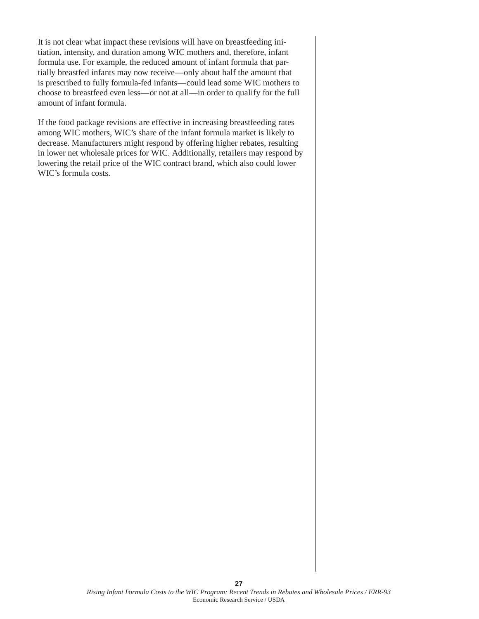It is not clear what impact these revisions will have on breastfeeding initiation, intensity, and duration among WIC mothers and, therefore, infant formula use. For example, the reduced amount of infant formula that partially breastfed infants may now receive—only about half the amount that is prescribed to fully formula-fed infants—could lead some WIC mothers to choose to breastfeed even less—or not at all—in order to qualify for the full amount of infant formula.

If the food package revisions are effective in increasing breastfeeding rates among WIC mothers, WIC's share of the infant formula market is likely to decrease. Manufacturers might respond by offering higher rebates, resulting in lower net wholesale prices for WIC. Additionally, retailers may respond by lowering the retail price of the WIC contract brand, which also could lower WIC's formula costs.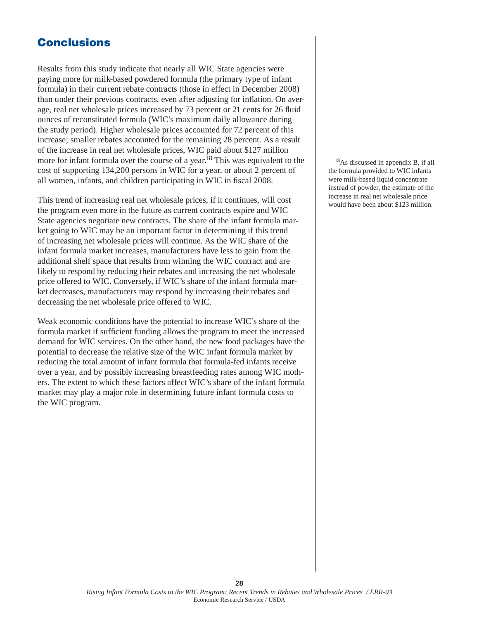## **Conclusions**

Results from this study indicate that nearly all WIC State agencies were paying more for milk-based powdered formula (the primary type of infant formula) in their current rebate contracts (those in effect in December 2008) than under their previous contracts, even after adjusting for inflation. On average, real net wholesale prices increased by 73 percent or 21 cents for 26 fluid ounces of reconstituted formula (WIC's maximum daily allowance during the study period). Higher wholesale prices accounted for 72 percent of this increase; smaller rebates accounted for the remaining 28 percent. As a result of the increase in real net wholesale prices, WIC paid about \$127 million more for infant formula over the course of a year.<sup>18</sup> This was equivalent to the cost of supporting 134,200 persons in WIC for a year, or about 2 percent of all women, infants, and children participating in WIC in fiscal 2008.

This trend of increasing real net wholesale prices, if it continues, will cost the program even more in the future as current contracts expire and WIC State agencies negotiate new contracts. The share of the infant formula market going to WIC may be an important factor in determining if this trend of increasing net wholesale prices will continue. As the WIC share of the infant formula market increases, manufacturers have less to gain from the additional shelf space that results from winning the WIC contract and are likely to respond by reducing their rebates and increasing the net wholesale price offered to WIC. Conversely, if WIC's share of the infant formula market decreases, manufacturers may respond by increasing their rebates and decreasing the net wholesale price offered to WIC.

Weak economic conditions have the potential to increase WIC's share of the formula market if sufficient funding allows the program to meet the increased demand for WIC services. On the other hand, the new food packages have the potential to decrease the relative size of the WIC infant formula market by reducing the total amount of infant formula that formula-fed infants receive over a year, and by possibly increasing breastfeeding rates among WIC mothers. The extent to which these factors affect WIC's share of the infant formula market may play a major role in determining future infant formula costs to the WIC program.

18As discussed in appendix B, if all the formula provided to WIC infants were milk-based liquid concentrate instead of powder, the estimate of the increase in real net wholesale price would have been about \$123 million.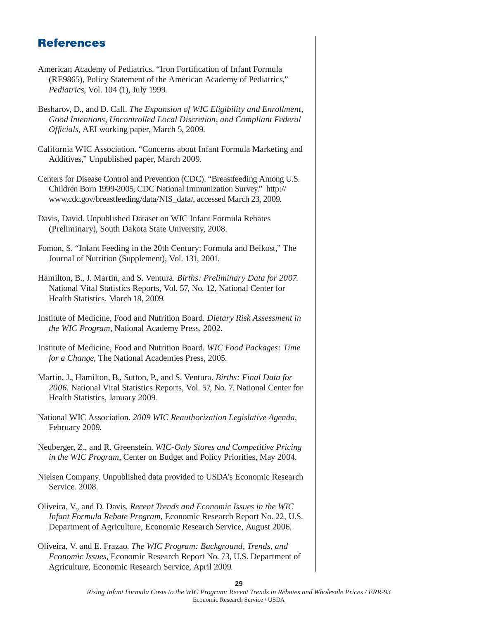## **References**

- American Academy of Pediatrics. "Iron Fortification of Infant Formula (RE9865), Policy Statement of the American Academy of Pediatrics," *Pediatrics*, Vol. 104 (1), July 1999.
- Besharov, D., and D. Call. *The Expansion of WIC Eligibility and Enrollment, Good Intentions, Uncontrolled Local Discretion, and Compliant Federal Officials*, AEI working paper, March 5, 2009.
- California WIC Association. "Concerns about Infant Formula Marketing and Additives," Unpublished paper, March 2009.
- Centers for Disease Control and Prevention (CDC). "Breastfeeding Among U.S. Children Born 1999-2005, CDC National Immunization Survey." http:// www.cdc.gov/breastfeeding/data/NIS\_data/, accessed March 23, 2009.
- Davis, David. Unpublished Dataset on WIC Infant Formula Rebates (Preliminary), South Dakota State University, 2008.
- Fomon, S. "Infant Feeding in the 20th Century: Formula and Beikost," The Journal of Nutrition (Supplement), Vol. 131, 2001.
- Hamilton, B., J. Martin, and S. Ventura. *Births: Preliminary Data for 2007.* National Vital Statistics Reports, Vol. 57, No. 12, National Center for Health Statistics. March 18, 2009.
- Institute of Medicine, Food and Nutrition Board. *Dietary Risk Assessment in the WIC Program*, National Academy Press, 2002.
- Institute of Medicine, Food and Nutrition Board. *WIC Food Packages: Time for a Change*, The National Academies Press, 2005.
- Martin, J., Hamilton, B., Sutton, P., and S. Ventura. *Births: Final Data for 2006.* National Vital Statistics Reports, Vol. 57, No. 7. National Center for Health Statistics, January 2009.
- National WIC Association. *2009 WIC Reauthorization Legislative Agenda*, February 2009.
- Neuberger, Z., and R. Greenstein. *WIC-Only Stores and Competitive Pricing in the WIC Program*, Center on Budget and Policy Priorities, May 2004.
- Nielsen Company. Unpublished data provided to USDA's Economic Research Service. 2008.
- Oliveira, V., and D. Davis. *Recent Trends and Economic Issues in the WIC Infant Formula Rebate Program*, Economic Research Report No. 22, U.S. Department of Agriculture, Economic Research Service, August 2006.
- Oliveira, V. and E. Frazao. *The WIC Program: Background, Trends, and Economic Issues*, Economic Research Report No. 73, U.S. Department of Agriculture, Economic Research Service, April 2009.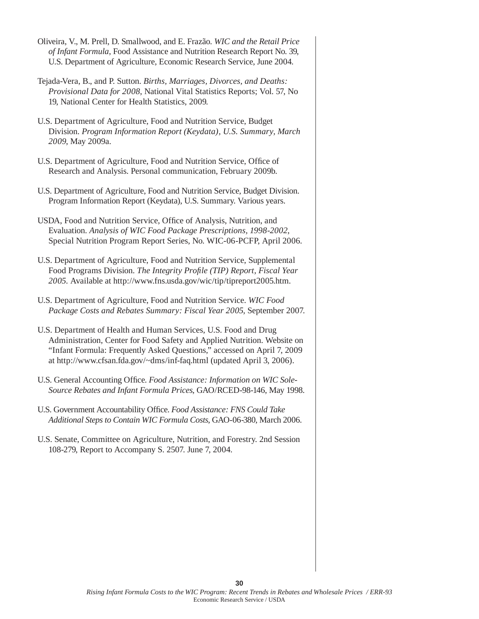- Oliveira, V., M. Prell, D. Smallwood, and E. Frazão. *WIC and the Retail Price of Infant Formula*, Food Assistance and Nutrition Research Report No. 39, U.S. Department of Agriculture, Economic Research Service, June 2004.
- Tejada-Vera, B., and P. Sutton. *Births, Marriages, Divorces, and Deaths: Provisional Data for 2008*, National Vital Statistics Reports; Vol. 57, No 19, National Center for Health Statistics, 2009.
- U.S. Department of Agriculture, Food and Nutrition Service, Budget Division. *Program Information Report (Keydata), U.S. Summary, March 2009*, May 2009a.
- U.S. Department of Agriculture, Food and Nutrition Service, Office of Research and Analysis. Personal communication, February 2009b.
- U.S. Department of Agriculture, Food and Nutrition Service, Budget Division. Program Information Report (Keydata), U.S. Summary. Various years.
- USDA, Food and Nutrition Service, Office of Analysis, Nutrition, and Evaluation. *Analysis of WIC Food Package Prescriptions, 1998-2002*, Special Nutrition Program Report Series, No. WIC-06-PCFP, April 2006.
- U.S. Department of Agriculture, Food and Nutrition Service, Supplemental Food Programs Division. *The Integrity Profile (TIP) Report, Fiscal Year 2005.* Available at http://www.fns.usda.gov/wic/tip/tipreport2005.htm.
- U.S. Department of Agriculture, Food and Nutrition Service. *WIC Food Package Costs and Rebates Summary: Fiscal Year 2005*, September 2007.
- U.S. Department of Health and Human Services, U.S. Food and Drug Administration, Center for Food Safety and Applied Nutrition. Website on "Infant Formula: Frequently Asked Questions," accessed on April 7, 2009 at http://www.cfsan.fda.gov/~dms/inf-faq.html (updated April 3, 2006).
- U.S. General Accounting Office. Food Assistance: Information on WIC Sole-*Source Rebates and Infant Formula Prices*, GAO/RCED-98-146, May 1998.
- U.S. Government Accountability Office. *Food Assistance: FNS Could Take Additional Steps to Contain WIC Formula Costs*, GAO-06-380, March 2006.
- U.S. Senate, Committee on Agriculture, Nutrition, and Forestry. 2nd Session 108-279, Report to Accompany S. 2507. June 7, 2004.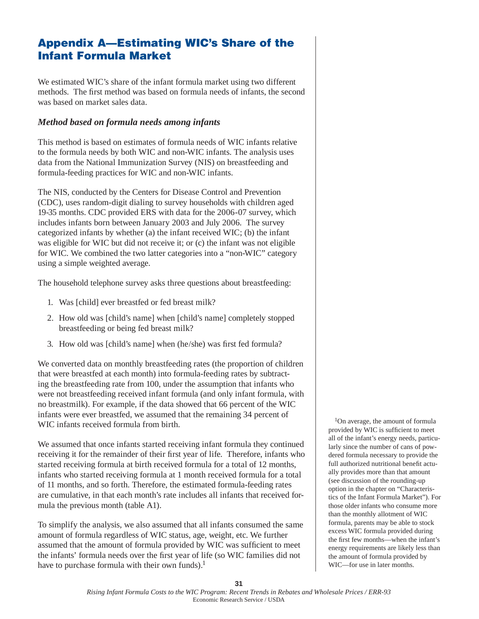## **Appendix A—Estimating WIC's Share of the Infant Formula Market**

We estimated WIC's share of the infant formula market using two different methods. The first method was based on formula needs of infants, the second was based on market sales data.

#### *Method based on formula needs among infants*

This method is based on estimates of formula needs of WIC infants relative to the formula needs by both WIC and non-WIC infants. The analysis uses data from the National Immunization Survey (NIS) on breastfeeding and formula-feeding practices for WIC and non-WIC infants.

The NIS, conducted by the Centers for Disease Control and Prevention (CDC), uses random-digit dialing to survey households with children aged 19-35 months. CDC provided ERS with data for the 2006-07 survey, which includes infants born between January 2003 and July 2006. The survey categorized infants by whether (a) the infant received WIC; (b) the infant was eligible for WIC but did not receive it; or (c) the infant was not eligible for WIC. We combined the two latter categories into a "non-WIC" category using a simple weighted average.

The household telephone survey asks three questions about breastfeeding:

- 1. Was [child] ever breastfed or fed breast milk?
- 2. How old was [child's name] when [child's name] completely stopped breastfeeding or being fed breast milk?
- 3. How old was [child's name] when (he/she) was first fed formula?

We converted data on monthly breastfeeding rates (the proportion of children that were breastfed at each month) into formula-feeding rates by subtracting the breastfeeding rate from 100, under the assumption that infants who were not breastfeeding received infant formula (and only infant formula, with no breastmilk). For example, if the data showed that 66 percent of the WIC infants were ever breastfed, we assumed that the remaining 34 percent of WIC infants received formula from birth.

We assumed that once infants started receiving infant formula they continued receiving it for the remainder of their first year of life. Therefore, infants who started receiving formula at birth received formula for a total of 12 months, infants who started receiving formula at 1 month received formula for a total of 11 months, and so forth. Therefore, the estimated formula-feeding rates are cumulative, in that each month's rate includes all infants that received formula the previous month (table A1).

To simplify the analysis, we also assumed that all infants consumed the same amount of formula regardless of WIC status, age, weight, etc. We further assumed that the amount of formula provided by WIC was sufficient to meet the infants' formula needs over the first year of life (so WIC families did not have to purchase formula with their own funds).<sup>1</sup>

<sup>1</sup>On average, the amount of formula provided by WIC is sufficient to meet all of the infant's energy needs, particularly since the number of cans of powdered formula necessary to provide the full authorized nutritional benefit actually provides more than that amount (see discussion of the rounding-up option in the chapter on "Characteristics of the Infant Formula Market"). For those older infants who consume more than the monthly allotment of WIC formula, parents may be able to stock excess WIC formula provided during the first few months—when the infant's energy requirements are likely less than the amount of formula provided by WIC—for use in later months.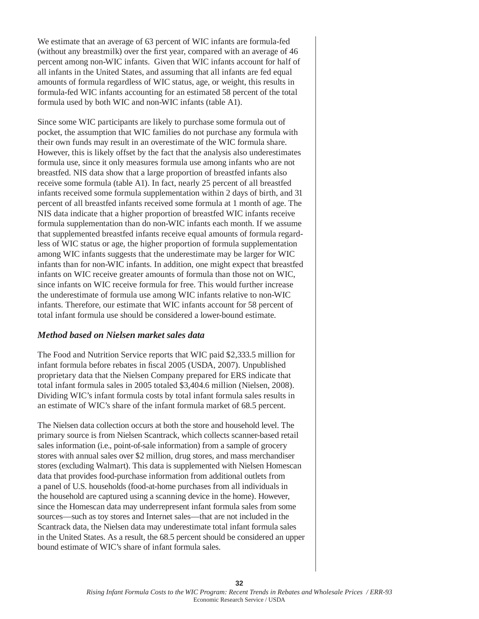We estimate that an average of 63 percent of WIC infants are formula-fed (without any breastmilk) over the first year, compared with an average of 46 percent among non-WIC infants. Given that WIC infants account for half of all infants in the United States, and assuming that all infants are fed equal amounts of formula regardless of WIC status, age, or weight, this results in formula-fed WIC infants accounting for an estimated 58 percent of the total formula used by both WIC and non-WIC infants (table A1).

Since some WIC participants are likely to purchase some formula out of pocket, the assumption that WIC families do not purchase any formula with their own funds may result in an overestimate of the WIC formula share. However, this is likely offset by the fact that the analysis also underestimates formula use, since it only measures formula use among infants who are not breastfed. NIS data show that a large proportion of breastfed infants also receive some formula (table A1). In fact, nearly 25 percent of all breastfed infants received some formula supplementation within 2 days of birth, and 31 percent of all breastfed infants received some formula at 1 month of age. The NIS data indicate that a higher proportion of breastfed WIC infants receive formula supplementation than do non-WIC infants each month. If we assume that supplemented breastfed infants receive equal amounts of formula regardless of WIC status or age, the higher proportion of formula supplementation among WIC infants suggests that the underestimate may be larger for WIC infants than for non-WIC infants. In addition, one might expect that breastfed infants on WIC receive greater amounts of formula than those not on WIC, since infants on WIC receive formula for free. This would further increase the underestimate of formula use among WIC infants relative to non-WIC infants. Therefore, our estimate that WIC infants account for 58 percent of total infant formula use should be considered a lower-bound estimate.

#### *Method based on Nielsen market sales data*

The Food and Nutrition Service reports that WIC paid \$2,333.5 million for infant formula before rebates in fiscal 2005 (USDA, 2007). Unpublished proprietary data that the Nielsen Company prepared for ERS indicate that total infant formula sales in 2005 totaled \$3,404.6 million (Nielsen, 2008). Dividing WIC's infant formula costs by total infant formula sales results in an estimate of WIC's share of the infant formula market of 68.5 percent.

The Nielsen data collection occurs at both the store and household level. The primary source is from Nielsen Scantrack, which collects scanner-based retail sales information (i.e., point-of-sale information) from a sample of grocery stores with annual sales over \$2 million, drug stores, and mass merchandiser stores (excluding Walmart). This data is supplemented with Nielsen Homescan data that provides food-purchase information from additional outlets from a panel of U.S. households (food-at-home purchases from all individuals in the household are captured using a scanning device in the home). However, since the Homescan data may underrepresent infant formula sales from some sources—such as toy stores and Internet sales—that are not included in the Scantrack data, the Nielsen data may underestimate total infant formula sales in the United States. As a result, the 68.5 percent should be considered an upper bound estimate of WIC's share of infant formula sales.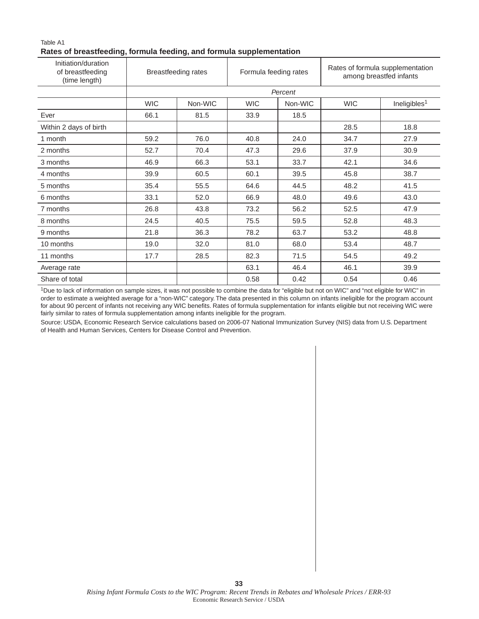| Table A1                                                             |  |  |
|----------------------------------------------------------------------|--|--|
| Rates of breastfeeding, formula feeding, and formula supplementation |  |  |

| Initiation/duration<br>of breastfeeding<br>(time length) | <b>Breastfeeding rates</b> |         | Formula feeding rates |         | Rates of formula supplementation<br>among breastfed infants |                          |
|----------------------------------------------------------|----------------------------|---------|-----------------------|---------|-------------------------------------------------------------|--------------------------|
|                                                          |                            |         |                       | Percent |                                                             |                          |
|                                                          | <b>WIC</b>                 | Non-WIC | <b>WIC</b>            | Non-WIC | <b>WIC</b>                                                  | Ineligibles <sup>1</sup> |
| Ever                                                     | 66.1                       | 81.5    | 33.9                  | 18.5    |                                                             |                          |
| Within 2 days of birth                                   |                            |         |                       |         | 28.5                                                        | 18.8                     |
| 1 month                                                  | 59.2                       | 76.0    | 40.8                  | 24.0    | 34.7                                                        | 27.9                     |
| 2 months                                                 | 52.7                       | 70.4    | 47.3                  | 29.6    | 37.9                                                        | 30.9                     |
| 3 months                                                 | 46.9                       | 66.3    | 53.1                  | 33.7    | 42.1                                                        | 34.6                     |
| 4 months                                                 | 39.9                       | 60.5    | 60.1                  | 39.5    | 45.8                                                        | 38.7                     |
| 5 months                                                 | 35.4                       | 55.5    | 64.6                  | 44.5    | 48.2                                                        | 41.5                     |
| 6 months                                                 | 33.1                       | 52.0    | 66.9                  | 48.0    | 49.6                                                        | 43.0                     |
| 7 months                                                 | 26.8                       | 43.8    | 73.2                  | 56.2    | 52.5                                                        | 47.9                     |
| 8 months                                                 | 24.5                       | 40.5    | 75.5                  | 59.5    | 52.8                                                        | 48.3                     |
| 9 months                                                 | 21.8                       | 36.3    | 78.2                  | 63.7    | 53.2                                                        | 48.8                     |
| 10 months                                                | 19.0                       | 32.0    | 81.0                  | 68.0    | 53.4                                                        | 48.7                     |
| 11 months                                                | 17.7                       | 28.5    | 82.3                  | 71.5    | 54.5                                                        | 49.2                     |
| Average rate                                             |                            |         | 63.1                  | 46.4    | 46.1                                                        | 39.9                     |
| Share of total                                           |                            |         | 0.58                  | 0.42    | 0.54                                                        | 0.46                     |

1Due to lack of information on sample sizes, it was not possible to combine the data for "eligible but not on WIC" and "not eligible for WIC" in order to estimate a weighted average for a "non-WIC" category. The data presented in this column on infants ineligible for the program account for about 90 percent of infants not receiving any WIC benefits. Rates of formula supplementation for infants eligible but not receiving WIC were fairly similar to rates of formula supplementation among infants ineligible for the program.

Source: USDA, Economic Research Service calculations based on 2006-07 National Immunization Survey (NIS) data from U.S. Department of Health and Human Services, Centers for Disease Control and Prevention.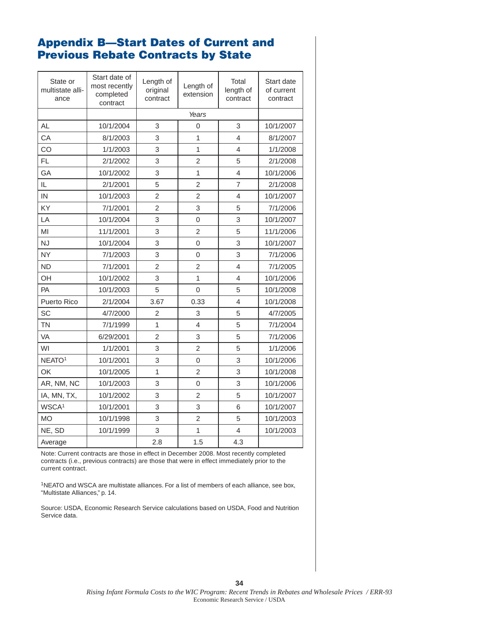## **Appendix B—Start Dates of Current and Previous Rebate Contracts by State**

| State or<br>multistate alli-<br>ance | Start date of<br>most recently<br>completed<br>contract | Length of<br>original<br>contract | Length of<br>extension | Total<br>length of<br>contract | Start date<br>of current<br>contract |
|--------------------------------------|---------------------------------------------------------|-----------------------------------|------------------------|--------------------------------|--------------------------------------|
|                                      |                                                         |                                   | Years                  |                                |                                      |
| AL                                   | 10/1/2004                                               | 3                                 | 0                      | 3                              | 10/1/2007                            |
| CA                                   | 8/1/2003                                                | 3                                 | 1                      | 4                              | 8/1/2007                             |
| CO                                   | 1/1/2003                                                | 3                                 | $\overline{1}$         | 4                              | 1/1/2008                             |
| FL                                   | 2/1/2002                                                | 3                                 | $\overline{2}$         | 5                              | 2/1/2008                             |
| GA                                   | 10/1/2002                                               | 3                                 | 1                      | 4                              | 10/1/2006                            |
| IL                                   | 2/1/2001                                                | 5                                 | $\overline{2}$         | $\overline{7}$                 | 2/1/2008                             |
| IN                                   | 10/1/2003                                               | $\overline{2}$                    | $\overline{2}$         | 4                              | 10/1/2007                            |
| KY                                   | 7/1/2001                                                | $\overline{2}$                    | 3                      | 5                              | 7/1/2006                             |
| LA                                   | 10/1/2004                                               | 3                                 | 0                      | 3                              | 10/1/2007                            |
| MI                                   | 11/1/2001                                               | 3                                 | $\overline{2}$         | 5                              | 11/1/2006                            |
| NJ                                   | 10/1/2004                                               | 3                                 | $\mathbf 0$            | 3                              | 10/1/2007                            |
| <b>NY</b>                            | 7/1/2003                                                | 3                                 | $\overline{0}$         | 3                              | 7/1/2006                             |
| <b>ND</b>                            | 7/1/2001                                                | $\overline{2}$                    | $\overline{2}$         | 4                              | 7/1/2005                             |
| OH                                   | 10/1/2002                                               | 3                                 | 1                      | 4                              | 10/1/2006                            |
| PA                                   | 10/1/2003                                               | 5                                 | $\mathbf 0$            | 5                              | 10/1/2008                            |
| <b>Puerto Rico</b>                   | 2/1/2004                                                | 3.67                              | 0.33                   | 4                              | 10/1/2008                            |
| SC                                   | 4/7/2000                                                | $\overline{c}$                    | 3                      | 5                              | 4/7/2005                             |
| <b>TN</b>                            | 7/1/1999                                                | $\overline{1}$                    | 4                      | 5                              | 7/1/2004                             |
| VA                                   | 6/29/2001                                               | $\overline{2}$                    | 3                      | 5                              | 7/1/2006                             |
| WI                                   | 1/1/2001                                                | 3                                 | $\overline{2}$         | 5                              | 1/1/2006                             |
| NEATO <sup>1</sup>                   | 10/1/2001                                               | 3                                 | 0                      | 3                              | 10/1/2006                            |
| OK                                   | 10/1/2005                                               | $\overline{1}$                    | $\overline{2}$         | 3                              | 10/1/2008                            |
| AR, NM, NC                           | 10/1/2003                                               | 3                                 | $\mathbf 0$            | 3                              | 10/1/2006                            |
| IA, MN, TX,                          | 10/1/2002                                               | 3                                 | $\overline{2}$         | 5                              | 10/1/2007                            |
| WSCA <sup>1</sup>                    | 10/1/2001                                               | 3                                 | 3                      | 6                              | 10/1/2007                            |
| <b>MO</b>                            | 10/1/1998                                               | 3                                 | $\overline{2}$         | 5                              | 10/1/2003                            |
| NE, SD                               | 10/1/1999                                               | 3                                 | 1                      | 4                              | 10/1/2003                            |
| Average                              |                                                         | 2.8                               | 1.5                    | 4.3                            |                                      |

Note: Current contracts are those in effect in December 2008. Most recently completed contracts (i.e., previous contracts) are those that were in effect immediately prior to the current contract.

1NEATO and WSCA are multistate alliances. For a list of members of each alliance, see box, "Multistate Alliances," p. 14.

Source: USDA, Economic Research Service calculations based on USDA, Food and Nutrition Service data.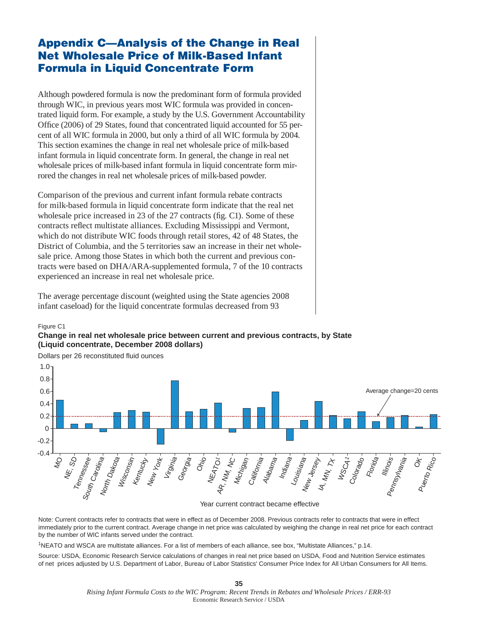## **Appendix C—Analysis of the Change in Real Net Wholesale Price of Milk-Based Infant Formula in Liquid Concentrate Form**

Although powdered formula is now the predominant form of formula provided through WIC, in previous years most WIC formula was provided in concentrated liquid form. For example, a study by the U.S. Government Accountability Office (2006) of 29 States, found that concentrated liquid accounted for 55 percent of all WIC formula in 2000, but only a third of all WIC formula by 2004. This section examines the change in real net wholesale price of milk-based infant formula in liquid concentrate form. In general, the change in real net wholesale prices of milk-based infant formula in liquid concentrate form mirrored the changes in real net wholesale prices of milk-based powder.

Comparison of the previous and current infant formula rebate contracts for milk-based formula in liquid concentrate form indicate that the real net wholesale price increased in 23 of the  $27$  contracts (fig. C1). Some of these contracts reflect multistate alliances. Excluding Mississippi and Vermont, which do not distribute WIC foods through retail stores, 42 of 48 States, the District of Columbia, and the 5 territories saw an increase in their net wholesale price. Among those States in which both the current and previous contracts were based on DHA/ARA-supplemented formula, 7 of the 10 contracts experienced an increase in real net wholesale price.

The average percentage discount (weighted using the State agencies 2008 infant caseload) for the liquid concentrate formulas decreased from 93

Figure C1

**Change in real net wholesale price between current and previous contracts, by State (Liquid concentrate, December 2008 dollars)**



Dollars per 26 reconstituted fluid ounces

Year current contract became effective

Note: Current contracts refer to contracts that were in effect as of December 2008. Previous contracts refer to contracts that were in effect immediately prior to the current contract. Average change in net price was calculated by weighing the change in real net price for each contract by the number of WIC infants served under the contract.

1NEATO and WSCA are multistate alliances. For a list of members of each alliance, see box, "Multistate Alliances," p.14.

Source: USDA, Economic Research Service calculations of changes in real net price based on USDA, Food and Nutrition Service estimates of net prices adjusted by U.S. Department of Labor, Bureau of Labor Statistics' Consumer Price Index for All Urban Consumers for All Items.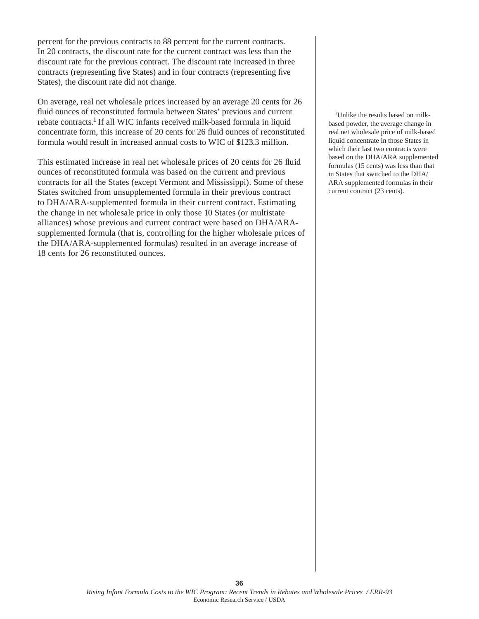percent for the previous contracts to 88 percent for the current contracts. In 20 contracts, the discount rate for the current contract was less than the discount rate for the previous contract. The discount rate increased in three contracts (representing five States) and in four contracts (representing five States), the discount rate did not change.

On average, real net wholesale prices increased by an average 20 cents for 26 fluid ounces of reconstituted formula between States' previous and current rebate contracts.1 If all WIC infants received milk-based formula in liquid concentrate form, this increase of 20 cents for 26 fluid ounces of reconstituted formula would result in increased annual costs to WIC of \$123.3 million.

This estimated increase in real net wholesale prices of 20 cents for 26 fluid ounces of reconstituted formula was based on the current and previous contracts for all the States (except Vermont and Mississippi). Some of these States switched from unsupplemented formula in their previous contract to DHA/ARA-supplemented formula in their current contract. Estimating the change in net wholesale price in only those 10 States (or multistate alliances) whose previous and current contract were based on DHA/ARAsupplemented formula (that is, controlling for the higher wholesale prices of the DHA/ARA-supplemented formulas) resulted in an average increase of 18 cents for 26 reconstituted ounces.

<sup>1</sup>Unlike the results based on milkbased powder, the average change in real net wholesale price of milk-based liquid concentrate in those States in which their last two contracts were based on the DHA/ARA supplemented formulas (15 cents) was less than that in States that switched to the DHA/ ARA supplemented formulas in their current contract (23 cents).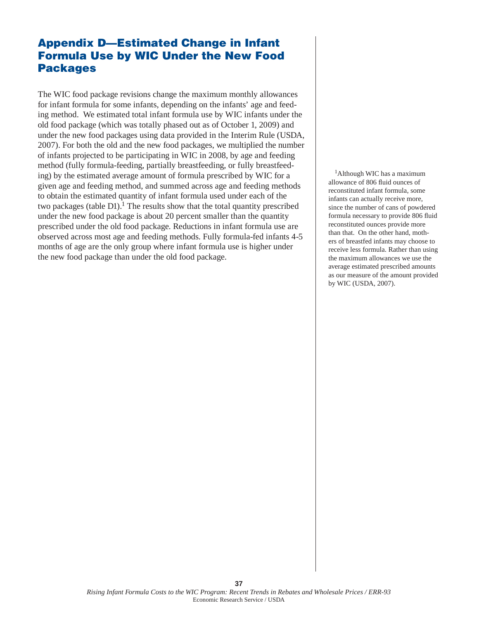## **Appendix D—Estimated Change in Infant Formula Use by WIC Under the New Food Packages**

The WIC food package revisions change the maximum monthly allowances for infant formula for some infants, depending on the infants' age and feeding method. We estimated total infant formula use by WIC infants under the old food package (which was totally phased out as of October 1, 2009) and under the new food packages using data provided in the Interim Rule (USDA, 2007). For both the old and the new food packages, we multiplied the number of infants projected to be participating in WIC in 2008, by age and feeding method (fully formula-feeding, partially breastfeeding, or fully breastfeeding) by the estimated average amount of formula prescribed by WIC for a given age and feeding method, and summed across age and feeding methods to obtain the estimated quantity of infant formula used under each of the two packages (table  $D1$ ).<sup>1</sup> The results show that the total quantity prescribed under the new food package is about 20 percent smaller than the quantity prescribed under the old food package. Reductions in infant formula use are observed across most age and feeding methods. Fully formula-fed infants 4-5 months of age are the only group where infant formula use is higher under the new food package than under the old food package.

1Although WIC has a maximum allowance of 806 fluid ounces of reconstituted infant formula, some infants can actually receive more, since the number of cans of powdered formula necessary to provide 806 fluid reconstituted ounces provide more than that. On the other hand, mothers of breastfed infants may choose to receive less formula. Rather than using the maximum allowances we use the average estimated prescribed amounts as our measure of the amount provided by WIC (USDA, 2007).